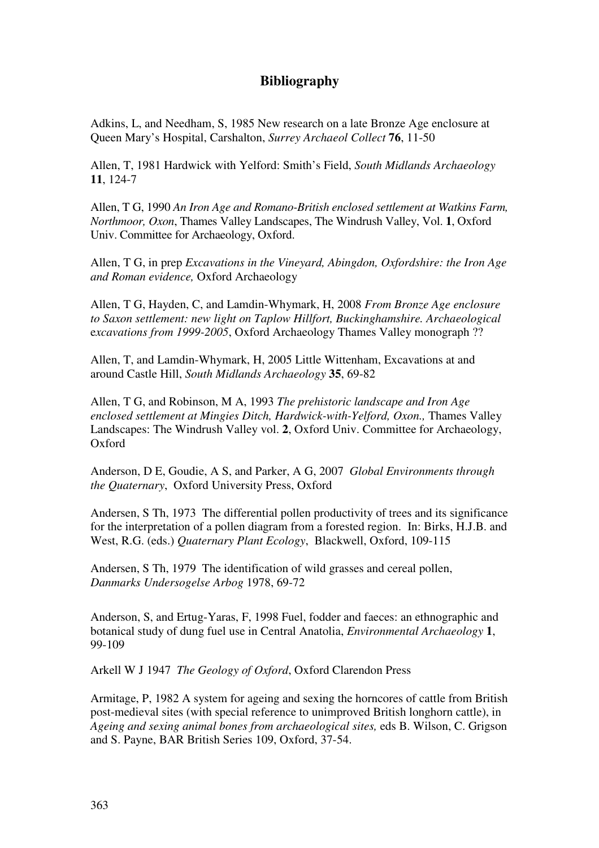## **Bibliography**

Adkins, L, and Needham, S, 1985 New research on a late Bronze Age enclosure at Queen Mary's Hospital, Carshalton, *Surrey Archaeol Collect* **76**, 11-50

Allen, T, 1981 Hardwick with Yelford: Smith's Field, *South Midlands Archaeology* **11**, 124-7

Allen, T G, 1990 *An Iron Age and Romano-British enclosed settlement at Watkins Farm, Northmoor, Oxon*, Thames Valley Landscapes, The Windrush Valley, Vol. **1**, Oxford Univ. Committee for Archaeology, Oxford.

Allen, T G, in prep *Excavations in the Vineyard, Abingdon, Oxfordshire: the Iron Age and Roman evidence,* Oxford Archaeology

Allen, T G, Hayden, C, and Lamdin-Whymark, H, 2008 *From Bronze Age enclosure to Saxon settlement: new light on Taplow Hillfort, Buckinghamshire. Archaeological* e*xcavations from 1999-2005*, Oxford Archaeology Thames Valley monograph ??

Allen, T, and Lamdin-Whymark, H, 2005 Little Wittenham, Excavations at and around Castle Hill, *South Midlands Archaeology* **35**, 69-82

Allen, T G, and Robinson, M A, 1993 *The prehistoric landscape and Iron Age enclosed settlement at Mingies Ditch, Hardwick-with-Yelford, Oxon.,* Thames Valley Landscapes: The Windrush Valley vol. **2**, Oxford Univ. Committee for Archaeology, Oxford

Anderson, D E, Goudie, A S, and Parker, A G, 2007 *Global Environments through the Quaternary*, Oxford University Press, Oxford

Andersen, S Th, 1973 The differential pollen productivity of trees and its significance for the interpretation of a pollen diagram from a forested region. In: Birks, H.J.B. and West, R.G. (eds.) *Quaternary Plant Ecology*, Blackwell, Oxford, 109-115

Andersen, S Th, 1979 The identification of wild grasses and cereal pollen, *Danmarks Undersogelse Arbog* 1978, 69-72

Anderson, S, and Ertug-Yaras, F, 1998 Fuel, fodder and faeces: an ethnographic and botanical study of dung fuel use in Central Anatolia, *Environmental Archaeology* **1**, 99-109

Arkell W J 1947 *The Geology of Oxford*, Oxford Clarendon Press

Armitage, P, 1982 A system for ageing and sexing the horncores of cattle from British post-medieval sites (with special reference to unimproved British longhorn cattle), in *Ageing and sexing animal bones from archaeological sites,* eds B. Wilson, C. Grigson and S. Payne, BAR British Series 109, Oxford, 37-54.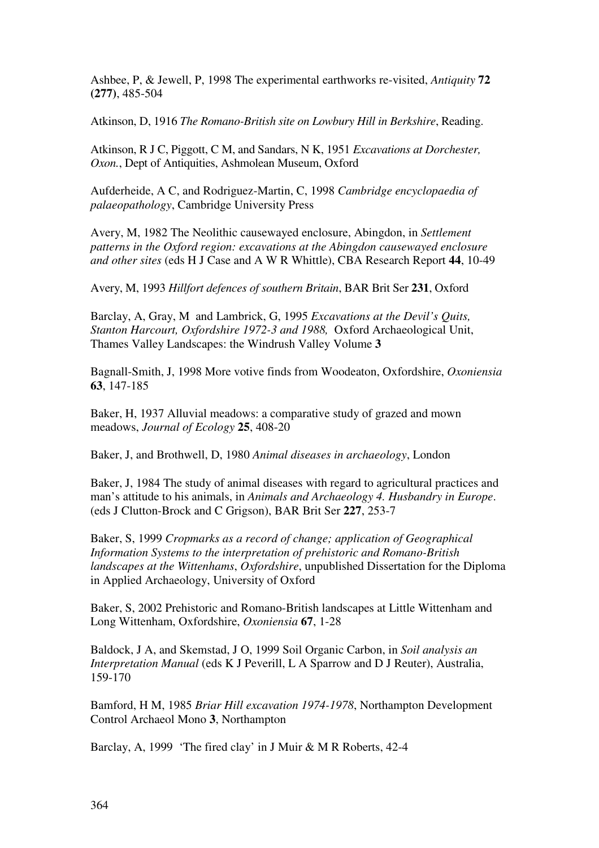Ashbee, P, & Jewell, P, 1998 The experimental earthworks re-visited, *Antiquity* **72 (277)**, 485-504

Atkinson, D, 1916 *The Romano-British site on Lowbury Hill in Berkshire*, Reading.

Atkinson, R J C, Piggott, C M, and Sandars, N K, 1951 *Excavations at Dorchester, Oxon.*, Dept of Antiquities, Ashmolean Museum, Oxford

Aufderheide, A C, and Rodriguez-Martin, C, 1998 *Cambridge encyclopaedia of palaeopathology*, Cambridge University Press

Avery, M, 1982 The Neolithic causewayed enclosure, Abingdon, in *Settlement patterns in the Oxford region: excavations at the Abingdon causewayed enclosure and other sites* (eds H J Case and A W R Whittle), CBA Research Report **44**, 10-49

Avery, M, 1993 *Hillfort defences of southern Britain*, BAR Brit Ser **231**, Oxford

Barclay, A, Gray, M and Lambrick, G, 1995 *Excavations at the Devil's Quits, Stanton Harcourt, Oxfordshire 1972-3 and 1988,* Oxford Archaeological Unit, Thames Valley Landscapes: the Windrush Valley Volume **3**

Bagnall-Smith, J, 1998 More votive finds from Woodeaton, Oxfordshire, *Oxoniensia* **63**, 147-185

Baker, H, 1937 Alluvial meadows: a comparative study of grazed and mown meadows, *Journal of Ecology* **25**, 408-20

Baker, J, and Brothwell, D, 1980 *Animal diseases in archaeology*, London

Baker, J, 1984 The study of animal diseases with regard to agricultural practices and man's attitude to his animals, in *Animals and Archaeology 4. Husbandry in Europe*. (eds J Clutton-Brock and C Grigson), BAR Brit Ser **227**, 253-7

Baker, S, 1999 *Cropmarks as a record of change; application of Geographical Information Systems to the interpretation of prehistoric and Romano-British landscapes at the Wittenhams*, *Oxfordshire*, unpublished Dissertation for the Diploma in Applied Archaeology, University of Oxford

Baker, S, 2002 Prehistoric and Romano-British landscapes at Little Wittenham and Long Wittenham, Oxfordshire, *Oxoniensia* **67**, 1-28

Baldock, J A, and Skemstad, J O, 1999 Soil Organic Carbon, in *Soil analysis an Interpretation Manual* (eds K J Peverill, L A Sparrow and D J Reuter), Australia, 159-170

Bamford, H M, 1985 *Briar Hill excavation 1974-1978*, Northampton Development Control Archaeol Mono **3**, Northampton

Barclay, A, 1999 'The fired clay' in J Muir & M R Roberts, 42-4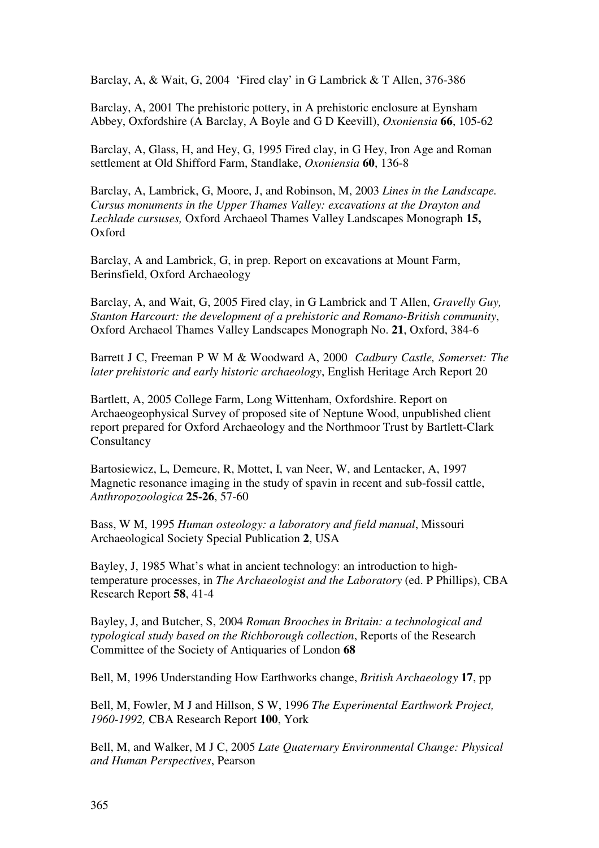Barclay, A, & Wait, G, 2004 'Fired clay' in G Lambrick & T Allen, 376-386

Barclay, A, 2001 The prehistoric pottery, in A prehistoric enclosure at Eynsham Abbey, Oxfordshire (A Barclay, A Boyle and G D Keevill), *Oxoniensia* **66**, 105-62

Barclay, A, Glass, H, and Hey, G, 1995 Fired clay, in G Hey, Iron Age and Roman settlement at Old Shifford Farm, Standlake, *Oxoniensia* **60**, 136-8

Barclay, A, Lambrick, G, Moore, J, and Robinson, M, 2003 *Lines in the Landscape. Cursus monuments in the Upper Thames Valley: excavations at the Drayton and Lechlade cursuses,* Oxford Archaeol Thames Valley Landscapes Monograph **15,**  Oxford

Barclay, A and Lambrick, G, in prep. Report on excavations at Mount Farm, Berinsfield, Oxford Archaeology

Barclay, A, and Wait, G, 2005 Fired clay, in G Lambrick and T Allen, *Gravelly Guy, Stanton Harcourt: the development of a prehistoric and Romano-British community*, Oxford Archaeol Thames Valley Landscapes Monograph No. **21**, Oxford, 384-6

Barrett J C, Freeman P W M & Woodward A, 2000 *Cadbury Castle, Somerset: The later prehistoric and early historic archaeology*, English Heritage Arch Report 20

Bartlett, A, 2005 College Farm, Long Wittenham, Oxfordshire. Report on Archaeogeophysical Survey of proposed site of Neptune Wood, unpublished client report prepared for Oxford Archaeology and the Northmoor Trust by Bartlett-Clark Consultancy

Bartosiewicz, L, Demeure, R, Mottet, I, van Neer, W, and Lentacker, A, 1997 Magnetic resonance imaging in the study of spavin in recent and sub-fossil cattle, *Anthropozoologica* **25-26**, 57-60

Bass, W M, 1995 *Human osteology: a laboratory and field manual*, Missouri Archaeological Society Special Publication **2**, USA

Bayley, J, 1985 What's what in ancient technology: an introduction to hightemperature processes, in *The Archaeologist and the Laboratory* (ed. P Phillips), CBA Research Report **58**, 41-4

Bayley, J, and Butcher, S, 2004 *Roman Brooches in Britain: a technological and typological study based on the Richborough collection*, Reports of the Research Committee of the Society of Antiquaries of London **68**

Bell, M, 1996 Understanding How Earthworks change, *British Archaeology* **17**, pp

Bell, M, Fowler, M J and Hillson, S W, 1996 *The Experimental Earthwork Project, 1960-1992,* CBA Research Report **100**, York

Bell, M, and Walker, M J C, 2005 *Late Quaternary Environmental Change: Physical and Human Perspectives*, Pearson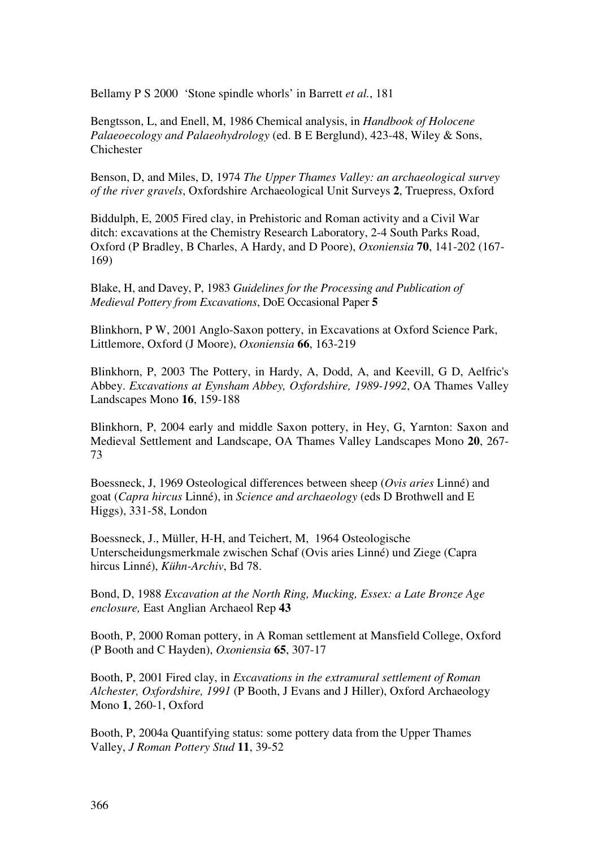Bellamy P S 2000 'Stone spindle whorls' in Barrett *et al.*, 181

Bengtsson, L, and Enell, M, 1986 Chemical analysis, in *Handbook of Holocene Palaeoecology and Palaeohydrology* (ed. B E Berglund), 423-48, Wiley & Sons, Chichester

Benson, D, and Miles, D, 1974 *The Upper Thames Valley: an archaeological survey of the river gravels*, Oxfordshire Archaeological Unit Surveys **2**, Truepress, Oxford

Biddulph, E, 2005 Fired clay, in Prehistoric and Roman activity and a Civil War ditch: excavations at the Chemistry Research Laboratory, 2-4 South Parks Road, Oxford (P Bradley, B Charles, A Hardy, and D Poore), *Oxoniensia* **70**, 141-202 (167- 169)

Blake, H, and Davey, P, 1983 *Guidelines for the Processing and Publication of Medieval Pottery from Excavations*, DoE Occasional Paper **5** 

Blinkhorn, P W, 2001 Anglo-Saxon pottery, in Excavations at Oxford Science Park, Littlemore, Oxford (J Moore), *Oxoniensia* **66**, 163-219

Blinkhorn, P, 2003 The Pottery, in Hardy, A, Dodd, A, and Keevill, G D, Aelfric's Abbey. *Excavations at Eynsham Abbey, Oxfordshire, 1989-1992*, OA Thames Valley Landscapes Mono **16**, 159-188

Blinkhorn, P, 2004 early and middle Saxon pottery, in Hey, G, Yarnton: Saxon and Medieval Settlement and Landscape, OA Thames Valley Landscapes Mono **20**, 267- 73

Boessneck, J, 1969 Osteological differences between sheep (*Ovis aries* Linné) and goat (*Capra hircus* Linné), in *Science and archaeology* (eds D Brothwell and E Higgs), 331-58, London

Boessneck, J., Müller, H-H, and Teichert, M, 1964 Osteologische Unterscheidungsmerkmale zwischen Schaf (Ovis aries Linné) und Ziege (Capra hircus Linné), *Kühn-Archiv*, Bd 78.

Bond, D, 1988 *Excavation at the North Ring, Mucking, Essex: a Late Bronze Age enclosure,* East Anglian Archaeol Rep **43**

Booth, P, 2000 Roman pottery, in A Roman settlement at Mansfield College, Oxford (P Booth and C Hayden), *Oxoniensia* **65**, 307-17

Booth, P, 2001 Fired clay, in *Excavations in the extramural settlement of Roman Alchester, Oxfordshire, 1991* (P Booth, J Evans and J Hiller), Oxford Archaeology Mono **1**, 260-1, Oxford

Booth, P, 2004a Quantifying status: some pottery data from the Upper Thames Valley, *J Roman Pottery Stud* **11**, 39-52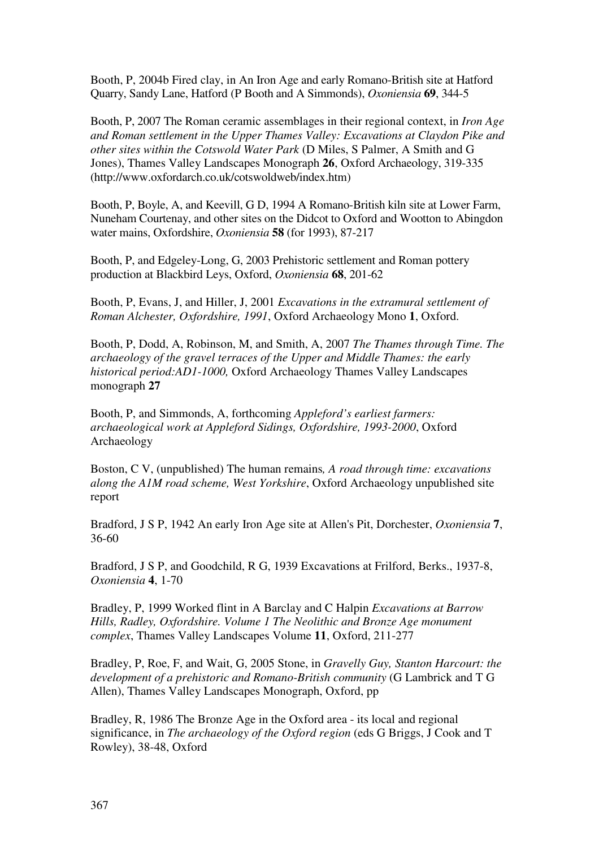Booth, P, 2004b Fired clay, in An Iron Age and early Romano-British site at Hatford Quarry, Sandy Lane, Hatford (P Booth and A Simmonds), *Oxoniensia* **69**, 344-5

Booth, P, 2007 The Roman ceramic assemblages in their regional context, in *Iron Age and Roman settlement in the Upper Thames Valley: Excavations at Claydon Pike and other sites within the Cotswold Water Park* (D Miles, S Palmer, A Smith and G Jones), Thames Valley Landscapes Monograph **26**, Oxford Archaeology, 319-335 (http://www.oxfordarch.co.uk/cotswoldweb/index.htm)

Booth, P, Boyle, A, and Keevill, G D, 1994 A Romano-British kiln site at Lower Farm, Nuneham Courtenay, and other sites on the Didcot to Oxford and Wootton to Abingdon water mains, Oxfordshire, *Oxoniensia* **58** (for 1993), 87-217

Booth, P, and Edgeley-Long, G, 2003 Prehistoric settlement and Roman pottery production at Blackbird Leys, Oxford, *Oxoniensia* **68**, 201-62

Booth, P, Evans, J, and Hiller, J, 2001 *Excavations in the extramural settlement of Roman Alchester, Oxfordshire, 1991*, Oxford Archaeology Mono **1**, Oxford.

Booth, P, Dodd, A, Robinson, M, and Smith, A, 2007 *The Thames through Time. The archaeology of the gravel terraces of the Upper and Middle Thames: the early historical period:AD1-1000,* Oxford Archaeology Thames Valley Landscapes monograph **27**

Booth, P, and Simmonds, A, forthcoming *Appleford's earliest farmers: archaeological work at Appleford Sidings, Oxfordshire, 1993-2000*, Oxford Archaeology

Boston, C V, (unpublished) The human remains*, A road through time: excavations along the A1M road scheme, West Yorkshire*, Oxford Archaeology unpublished site report

Bradford, J S P, 1942 An early Iron Age site at Allen's Pit, Dorchester, *Oxoniensia* **7**, 36-60

Bradford, J S P, and Goodchild, R G, 1939 Excavations at Frilford, Berks., 1937-8, *Oxoniensia* **4**, 1-70

Bradley, P, 1999 Worked flint in A Barclay and C Halpin *Excavations at Barrow Hills, Radley, Oxfordshire. Volume 1 The Neolithic and Bronze Age monument complex*, Thames Valley Landscapes Volume **11**, Oxford, 211-277

Bradley, P, Roe, F, and Wait, G, 2005 Stone, in *Gravelly Guy, Stanton Harcourt: the development of a prehistoric and Romano-British community* (G Lambrick and T G Allen), Thames Valley Landscapes Monograph, Oxford, pp

Bradley, R, 1986 The Bronze Age in the Oxford area - its local and regional significance, in *The archaeology of the Oxford region* (eds G Briggs, J Cook and T Rowley), 38-48, Oxford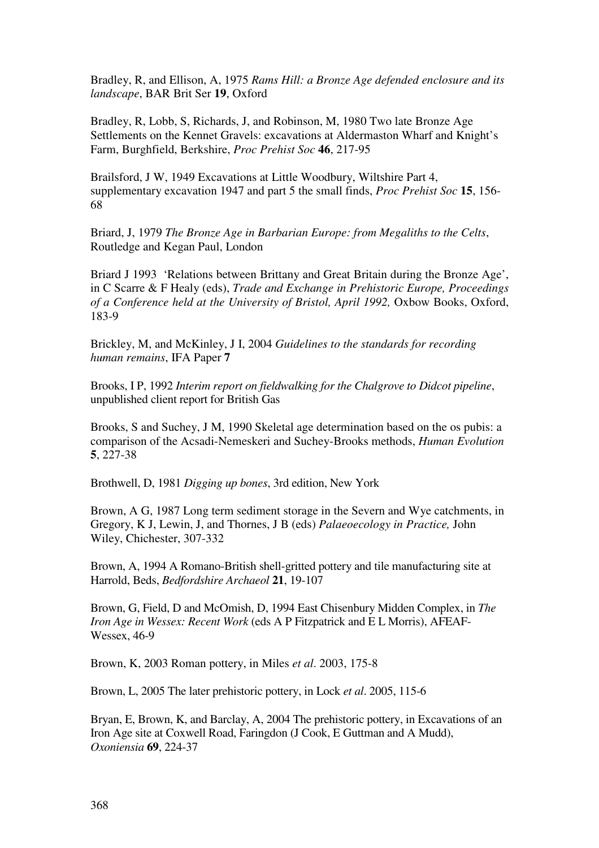Bradley, R, and Ellison, A, 1975 *Rams Hill: a Bronze Age defended enclosure and its landscape*, BAR Brit Ser **19**, Oxford

Bradley, R, Lobb, S, Richards, J, and Robinson, M, 1980 Two late Bronze Age Settlements on the Kennet Gravels: excavations at Aldermaston Wharf and Knight's Farm, Burghfield, Berkshire, *Proc Prehist Soc* **46**, 217-95

Brailsford, J W, 1949 Excavations at Little Woodbury, Wiltshire Part 4, supplementary excavation 1947 and part 5 the small finds, *Proc Prehist Soc* **15**, 156- 68

Briard, J, 1979 *The Bronze Age in Barbarian Europe: from Megaliths to the Celts*, Routledge and Kegan Paul, London

Briard J 1993 'Relations between Brittany and Great Britain during the Bronze Age', in C Scarre & F Healy (eds), *Trade and Exchange in Prehistoric Europe, Proceedings of a Conference held at the University of Bristol, April 1992,* Oxbow Books, Oxford, 183-9

Brickley, M, and McKinley, J I, 2004 *Guidelines to the standards for recording human remains*, IFA Paper **7**

Brooks, I P, 1992 *Interim report on fieldwalking for the Chalgrove to Didcot pipeline*, unpublished client report for British Gas

Brooks, S and Suchey, J M, 1990 Skeletal age determination based on the os pubis: a comparison of the Acsadi-Nemeskeri and Suchey-Brooks methods, *Human Evolution* **5**, 227-38

Brothwell, D, 1981 *Digging up bones*, 3rd edition, New York

Brown, A G, 1987 Long term sediment storage in the Severn and Wye catchments, in Gregory, K J, Lewin, J, and Thornes, J B (eds) *Palaeoecology in Practice,* John Wiley, Chichester, 307-332

Brown, A, 1994 A Romano-British shell-gritted pottery and tile manufacturing site at Harrold, Beds, *Bedfordshire Archaeol* **21**, 19-107

Brown, G, Field, D and McOmish, D, 1994 East Chisenbury Midden Complex, in *The Iron Age in Wessex: Recent Work* (eds A P Fitzpatrick and E L Morris), AFEAF-Wessex, 46-9

Brown, K, 2003 Roman pottery, in Miles *et al*. 2003, 175-8

Brown, L, 2005 The later prehistoric pottery, in Lock *et al*. 2005, 115-6

Bryan, E, Brown, K, and Barclay, A, 2004 The prehistoric pottery, in Excavations of an Iron Age site at Coxwell Road, Faringdon (J Cook, E Guttman and A Mudd), *Oxoniensia* **69**, 224-37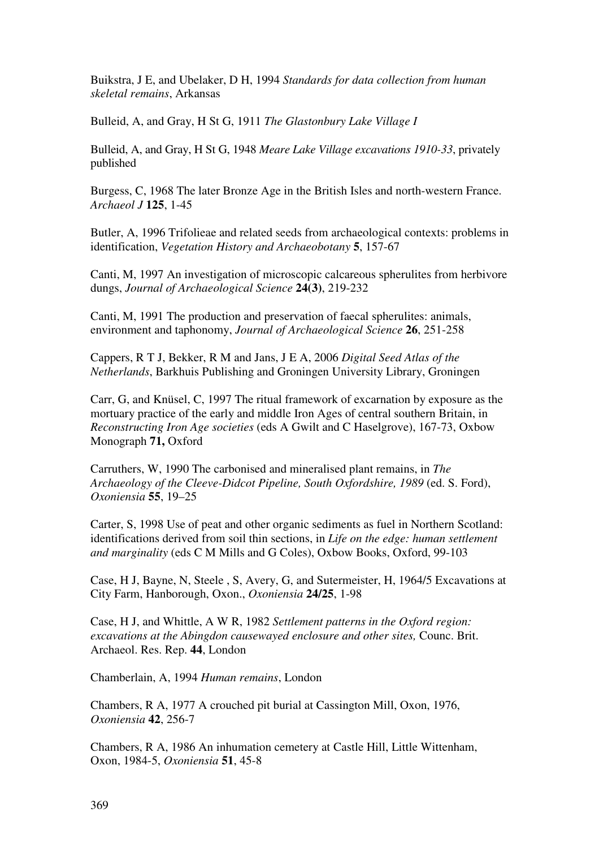Buikstra, J E, and Ubelaker, D H, 1994 *Standards for data collection from human skeletal remains*, Arkansas

Bulleid, A, and Gray, H St G, 1911 *The Glastonbury Lake Village I*

Bulleid, A, and Gray, H St G, 1948 *Meare Lake Village excavations 1910-33*, privately published

Burgess, C, 1968 The later Bronze Age in the British Isles and north-western France. *Archaeol J* **125**, 1-45

Butler, A, 1996 Trifolieae and related seeds from archaeological contexts: problems in identification, *Vegetation History and Archaeobotany* **5**, 157-67

Canti, M, 1997 An investigation of microscopic calcareous spherulites from herbivore dungs, *Journal of Archaeological Science* **24(3)**, 219-232

Canti, M, 1991 The production and preservation of faecal spherulites: animals, environment and taphonomy, *Journal of Archaeological Science* **26**, 251-258

Cappers, R T J, Bekker, R M and Jans, J E A, 2006 *Digital Seed Atlas of the Netherlands*, Barkhuis Publishing and Groningen University Library, Groningen

Carr, G, and Knüsel, C, 1997 The ritual framework of excarnation by exposure as the mortuary practice of the early and middle Iron Ages of central southern Britain, in *Reconstructing Iron Age societies* (eds A Gwilt and C Haselgrove), 167-73, Oxbow Monograph **71,** Oxford

Carruthers, W, 1990 The carbonised and mineralised plant remains, in *The Archaeology of the Cleeve-Didcot Pipeline, South Oxfordshire, 1989* (ed. S. Ford), *Oxoniensia* **55**, 19–25

Carter, S, 1998 Use of peat and other organic sediments as fuel in Northern Scotland: identifications derived from soil thin sections, in *Life on the edge: human settlement and marginality* (eds C M Mills and G Coles), Oxbow Books, Oxford, 99-103

Case, H J, Bayne, N, Steele , S, Avery, G, and Sutermeister, H, 1964/5 Excavations at City Farm, Hanborough, Oxon., *Oxoniensia* **24/25**, 1-98

Case, H J, and Whittle, A W R, 1982 *Settlement patterns in the Oxford region: excavations at the Abingdon causewayed enclosure and other sites,* Counc. Brit. Archaeol. Res. Rep. **44**, London

Chamberlain, A, 1994 *Human remains*, London

Chambers, R A, 1977 A crouched pit burial at Cassington Mill, Oxon, 1976, *Oxoniensia* **42**, 256-7

Chambers, R A, 1986 An inhumation cemetery at Castle Hill, Little Wittenham, Oxon, 1984-5, *Oxoniensia* **51**, 45-8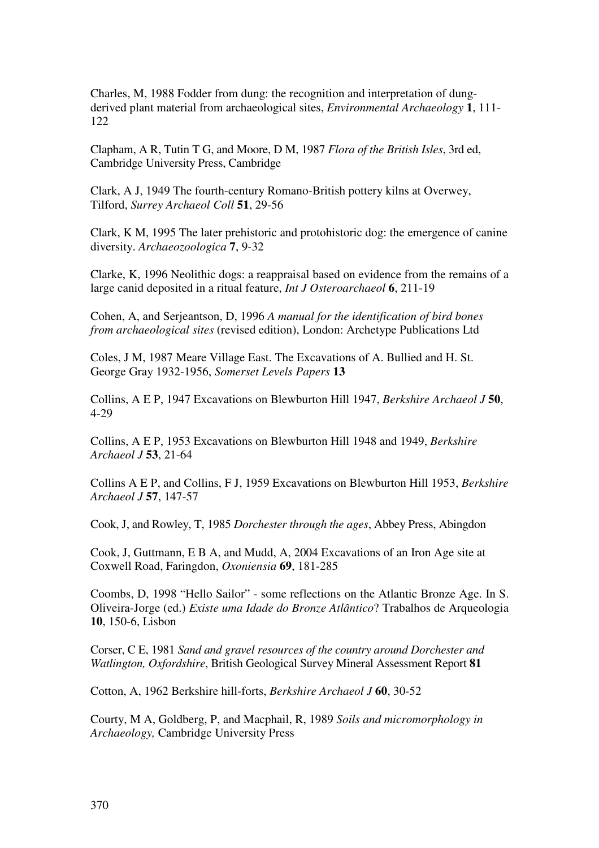Charles, M, 1988 Fodder from dung: the recognition and interpretation of dungderived plant material from archaeological sites, *Environmental Archaeology* **1**, 111- 122

Clapham, A R, Tutin T G, and Moore, D M, 1987 *Flora of the British Isles*, 3rd ed, Cambridge University Press, Cambridge

Clark, A J, 1949 The fourth-century Romano-British pottery kilns at Overwey, Tilford, *Surrey Archaeol Coll* **51**, 29-56

Clark, K M, 1995 The later prehistoric and protohistoric dog: the emergence of canine diversity. *Archaeozoologica* **7**, 9-32

Clarke, K, 1996 Neolithic dogs: a reappraisal based on evidence from the remains of a large canid deposited in a ritual feature, *Int J Osteroarchaeol* **6**, 211-19

Cohen, A, and Serjeantson, D, 1996 *A manual for the identification of bird bones from archaeological sites* (revised edition), London: Archetype Publications Ltd

Coles, J M, 1987 Meare Village East. The Excavations of A. Bullied and H. St. George Gray 1932-1956, *Somerset Levels Papers* **13** 

Collins, A E P, 1947 Excavations on Blewburton Hill 1947, *Berkshire Archaeol J* **50**, 4-29

Collins, A E P, 1953 Excavations on Blewburton Hill 1948 and 1949, *Berkshire Archaeol J* **53**, 21-64

Collins A E P, and Collins, F J, 1959 Excavations on Blewburton Hill 1953, *Berkshire Archaeol J* **57**, 147-57

Cook, J, and Rowley, T, 1985 *Dorchester through the ages*, Abbey Press, Abingdon

Cook, J, Guttmann, E B A, and Mudd, A, 2004 Excavations of an Iron Age site at Coxwell Road, Faringdon, *Oxoniensia* **69**, 181-285

Coombs, D, 1998 "Hello Sailor" - some reflections on the Atlantic Bronze Age. In S. Oliveira-Jorge (ed.) *Existe uma Idade do Bronze Atlântico*? Trabalhos de Arqueologia **10**, 150-6, Lisbon

Corser, C E, 1981 *Sand and gravel resources of the country around Dorchester and Watlington, Oxfordshire*, British Geological Survey Mineral Assessment Report **81** 

Cotton, A, 1962 Berkshire hill-forts, *Berkshire Archaeol J* **60**, 30-52

Courty, M A, Goldberg, P, and Macphail, R, 1989 *Soils and micromorphology in Archaeology,* Cambridge University Press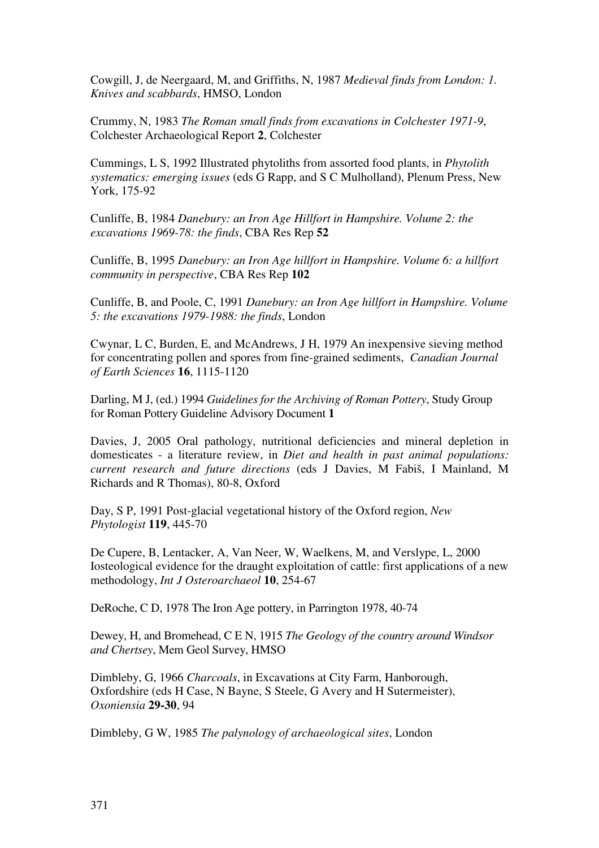Cowgill, J, de Neergaard, M, and Griffiths, N, 1987 *Medieval finds from London: 1. Knives and scabbards*, HMSO, London

Crummy, N, 1983 *The Roman small finds from excavations in Colchester 1971-9*, Colchester Archaeological Report **2**, Colchester

Cummings, L S, 1992 Illustrated phytoliths from assorted food plants, in *Phytolith systematics: emerging issues* (eds G Rapp, and S C Mulholland), Plenum Press, New York, 175-92

Cunliffe, B, 1984 *Danebury: an Iron Age Hillfort in Hampshire. Volume 2: the excavations 1969-78: the finds*, CBA Res Rep **52** 

Cunliffe, B, 1995 *Danebury: an Iron Age hillfort in Hampshire. Volume 6: a hillfort community in perspective*, CBA Res Rep **102** 

Cunliffe, B, and Poole, C, 1991 *Danebury: an Iron Age hillfort in Hampshire. Volume 5: the excavations 1979-1988: the finds*, London

Cwynar, L C, Burden, E, and McAndrews, J H, 1979 An inexpensive sieving method for concentrating pollen and spores from fine-grained sediments, *Canadian Journal of Earth Sciences* **16**, 1115-1120

Darling, M J, (ed.) 1994 *Guidelines for the Archiving of Roman Pottery*, Study Group for Roman Pottery Guideline Advisory Document **1** 

Davies, J, 2005 Oral pathology, nutritional deficiencies and mineral depletion in domesticates - a literature review, in *Diet and health in past animal populations: current research and future directions* (eds J Davies, M Fabiš, I Mainland, M Richards and R Thomas), 80-8, Oxford

Day, S P, 1991 Post-glacial vegetational history of the Oxford region, *New Phytologist* **119**, 445-70

De Cupere, B, Lentacker, A, Van Neer, W, Waelkens, M, and Verslype, L, 2000 Iosteological evidence for the draught exploitation of cattle: first applications of a new methodology, *Int J Osteroarchaeol* **10**, 254-67

DeRoche, C D, 1978 The Iron Age pottery, in Parrington 1978, 40-74

Dewey, H, and Bromehead, C E N, 1915 *The Geology of the country around Windsor and Chertsey*, Mem Geol Survey, HMSO

Dimbleby, G, 1966 *Charcoals*, in Excavations at City Farm, Hanborough, Oxfordshire (eds H Case, N Bayne, S Steele, G Avery and H Sutermeister), *Oxoniensia* **29-30**, 94

Dimbleby, G W, 1985 *The palynology of archaeological sites*, London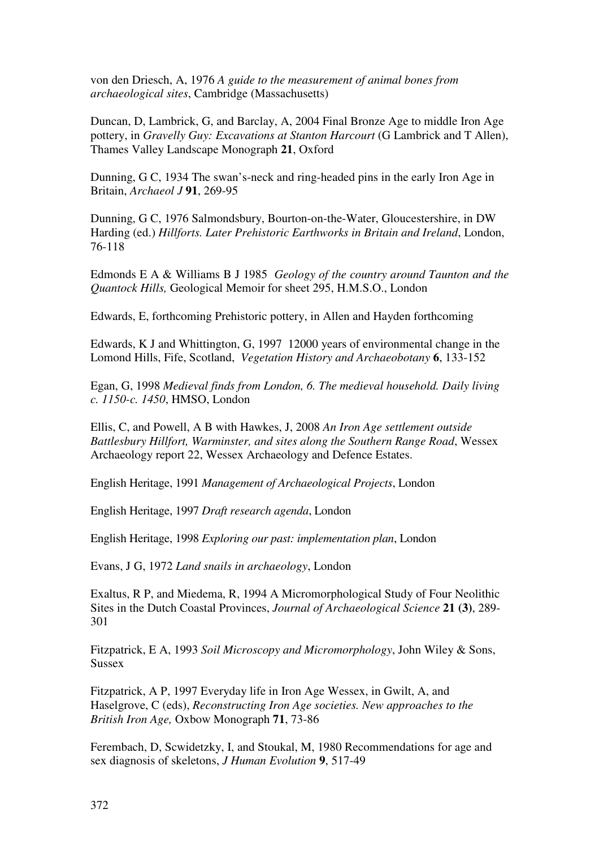von den Driesch, A, 1976 *A guide to the measurement of animal bones from archaeological sites*, Cambridge (Massachusetts)

Duncan, D, Lambrick, G, and Barclay, A, 2004 Final Bronze Age to middle Iron Age pottery, in *Gravelly Guy: Excavations at Stanton Harcourt* (G Lambrick and T Allen), Thames Valley Landscape Monograph **21**, Oxford

Dunning, G C, 1934 The swan's-neck and ring-headed pins in the early Iron Age in Britain, *Archaeol J* **91**, 269-95

Dunning, G C, 1976 Salmondsbury, Bourton-on-the-Water, Gloucestershire, in DW Harding (ed.) *Hillforts. Later Prehistoric Earthworks in Britain and Ireland*, London, 76-118

Edmonds E A & Williams B J 1985 *Geology of the country around Taunton and the Quantock Hills,* Geological Memoir for sheet 295, H.M.S.O., London

Edwards, E, forthcoming Prehistoric pottery, in Allen and Hayden forthcoming

Edwards, K J and Whittington, G, 1997 12000 years of environmental change in the Lomond Hills, Fife, Scotland, *Vegetation History and Archaeobotany* **6**, 133-152

Egan, G, 1998 *Medieval finds from London, 6. The medieval household. Daily living c. 1150-c. 1450*, HMSO, London

Ellis, C, and Powell, A B with Hawkes, J, 2008 *An Iron Age settlement outside Battlesbury Hillfort, Warminster, and sites along the Southern Range Road*, Wessex Archaeology report 22, Wessex Archaeology and Defence Estates.

English Heritage, 1991 *Management of Archaeological Projects*, London

English Heritage, 1997 *Draft research agenda*, London

English Heritage, 1998 *Exploring our past: implementation plan*, London

Evans, J G, 1972 *Land snails in archaeology*, London

Exaltus, R P, and Miedema, R, 1994 A Micromorphological Study of Four Neolithic Sites in the Dutch Coastal Provinces, *Journal of Archaeological Science* **21 (3)**, 289- 301

Fitzpatrick, E A, 1993 *Soil Microscopy and Micromorphology*, John Wiley & Sons, Sussex

Fitzpatrick, A P, 1997 Everyday life in Iron Age Wessex, in Gwilt, A, and Haselgrove, C (eds), *Reconstructing Iron Age societies. New approaches to the British Iron Age,* Oxbow Monograph **71**, 73-86

Ferembach, D, Scwidetzky, I, and Stoukal, M, 1980 Recommendations for age and sex diagnosis of skeletons, *J Human Evolution* **9**, 517-49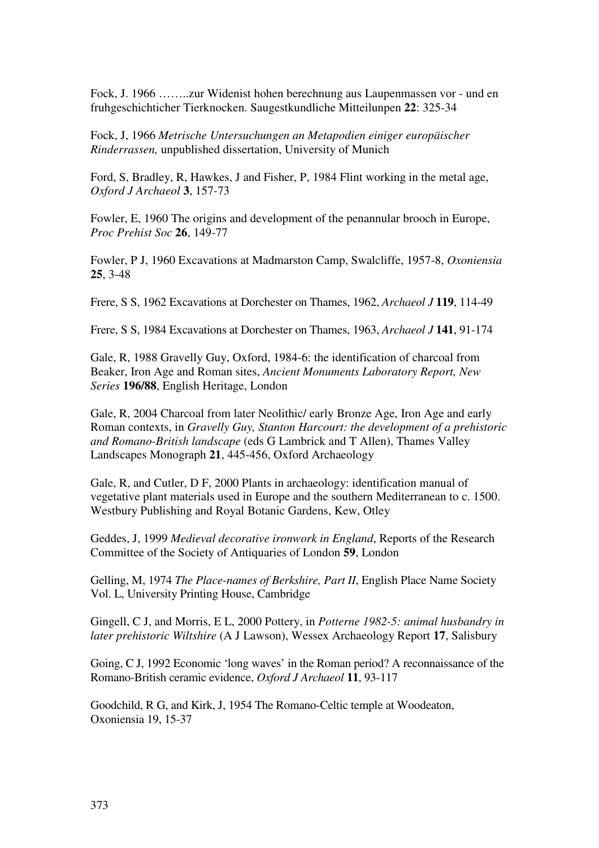Fock, J. 1966 ……..zur Widenist hohen berechnung aus Laupenmassen vor - und en fruhgeschichticher Tierknocken. Saugestkundliche Mitteilunpen **22**: 325-34

Fock, J, 1966 *Metrische Untersuchungen an Metapodien einiger europäischer Rinderrassen,* unpublished dissertation, University of Munich

Ford, S, Bradley, R, Hawkes, J and Fisher, P, 1984 Flint working in the metal age, *Oxford J Archaeol* **3**, 157-73

Fowler, E, 1960 The origins and development of the penannular brooch in Europe, *Proc Prehist Soc* **26**, 149-77

Fowler, P J, 1960 Excavations at Madmarston Camp, Swalcliffe, 1957-8, *Oxoniensia*  **25**, 3-48

Frere, S S, 1962 Excavations at Dorchester on Thames, 1962, *Archaeol J* **119**, 114-49

Frere, S S, 1984 Excavations at Dorchester on Thames, 1963, *Archaeol J* **141**, 91-174

Gale, R, 1988 Gravelly Guy, Oxford, 1984-6: the identification of charcoal from Beaker, Iron Age and Roman sites, *Ancient Monuments Laboratory Report, New Series* **196/88**, English Heritage, London

Gale, R, 2004 Charcoal from later Neolithic/ early Bronze Age, Iron Age and early Roman contexts, in *Gravelly Guy, Stanton Harcourt: the development of a prehistoric and Romano-British landscape* (eds G Lambrick and T Allen), Thames Valley Landscapes Monograph **21**, 445-456, Oxford Archaeology

Gale, R, and Cutler, D F, 2000 Plants in archaeology: identification manual of vegetative plant materials used in Europe and the southern Mediterranean to c. 1500. Westbury Publishing and Royal Botanic Gardens, Kew, Otley

Geddes, J, 1999 *Medieval decorative ironwork in England*, Reports of the Research Committee of the Society of Antiquaries of London **59**, London

Gelling, M, 1974 *The Place-names of Berkshire, Part II*, English Place Name Society Vol. L, University Printing House, Cambridge

Gingell, C J, and Morris, E L, 2000 Pottery, in *Potterne 1982-5: animal husbandry in later prehistoric Wiltshire* (A J Lawson), Wessex Archaeology Report **17**, Salisbury

Going, C J, 1992 Economic 'long waves' in the Roman period? A reconnaissance of the Romano-British ceramic evidence, *Oxford J Archaeol* **11**, 93-117

Goodchild, R G, and Kirk, J, 1954 The Romano-Celtic temple at Woodeaton, Oxoniensia 19, 15-37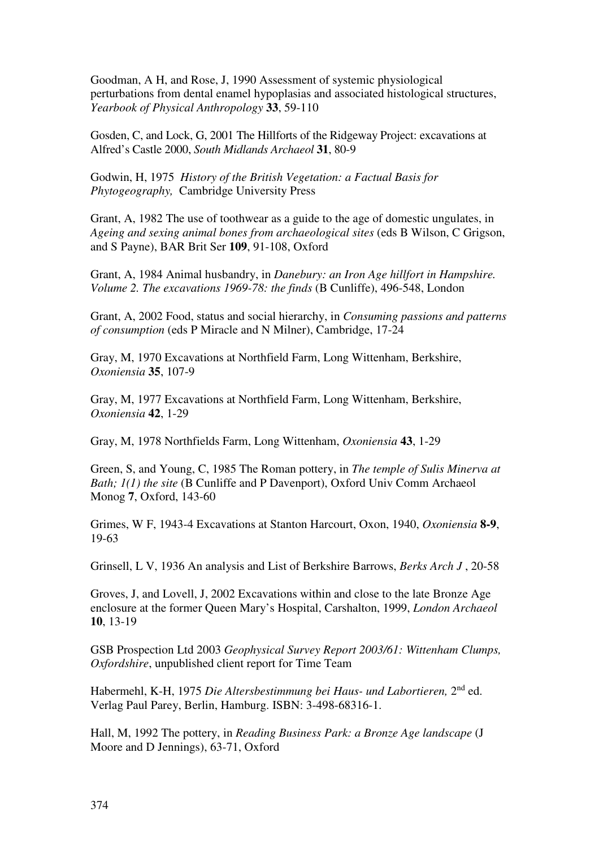Goodman, A H, and Rose, J, 1990 Assessment of systemic physiological perturbations from dental enamel hypoplasias and associated histological structures, *Yearbook of Physical Anthropology* **33**, 59-110

Gosden, C, and Lock, G, 2001 The Hillforts of the Ridgeway Project: excavations at Alfred's Castle 2000, *South Midlands Archaeol* **31**, 80-9

Godwin, H, 1975 *History of the British Vegetation: a Factual Basis for Phytogeography,* Cambridge University Press

Grant, A, 1982 The use of toothwear as a guide to the age of domestic ungulates, in *Ageing and sexing animal bones from archaeological sites* (eds B Wilson, C Grigson, and S Payne), BAR Brit Ser **109**, 91-108, Oxford

Grant, A, 1984 Animal husbandry, in *Danebury: an Iron Age hillfort in Hampshire. Volume 2. The excavations 1969-78: the finds* (B Cunliffe), 496-548, London

Grant, A, 2002 Food, status and social hierarchy, in *Consuming passions and patterns of consumption* (eds P Miracle and N Milner), Cambridge, 17-24

Gray, M, 1970 Excavations at Northfield Farm, Long Wittenham, Berkshire, *Oxoniensia* **35**, 107-9

Gray, M, 1977 Excavations at Northfield Farm, Long Wittenham, Berkshire, *Oxoniensia* **42**, 1-29

Gray, M, 1978 Northfields Farm, Long Wittenham, *Oxoniensia* **43**, 1-29

Green, S, and Young, C, 1985 The Roman pottery, in *The temple of Sulis Minerva at Bath; 1(1) the site* (B Cunliffe and P Davenport), Oxford Univ Comm Archaeol Monog **7**, Oxford, 143-60

Grimes, W F, 1943-4 Excavations at Stanton Harcourt, Oxon, 1940, *Oxoniensia* **8-9**, 19-63

Grinsell, L V, 1936 An analysis and List of Berkshire Barrows, *Berks Arch J* , 20-58

Groves, J, and Lovell, J, 2002 Excavations within and close to the late Bronze Age enclosure at the former Queen Mary's Hospital, Carshalton, 1999, *London Archaeol*  **10**, 13-19

GSB Prospection Ltd 2003 *Geophysical Survey Report 2003/61: Wittenham Clumps, Oxfordshire*, unpublished client report for Time Team

Habermehl, K-H, 1975 *Die Altersbestimmung bei Haus- und Labortieren,* 2nd ed. Verlag Paul Parey, Berlin, Hamburg. ISBN: 3-498-68316-1.

Hall, M, 1992 The pottery, in *Reading Business Park: a Bronze Age landscape* (J Moore and D Jennings), 63-71, Oxford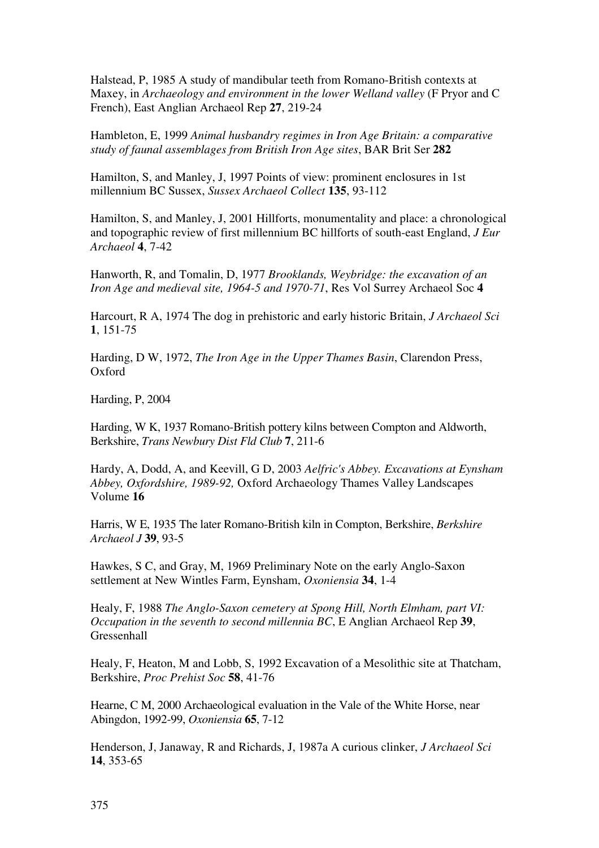Halstead, P, 1985 A study of mandibular teeth from Romano-British contexts at Maxey, in *Archaeology and environment in the lower Welland valley* (F Pryor and C French), East Anglian Archaeol Rep **27**, 219-24

Hambleton, E, 1999 *Animal husbandry regimes in Iron Age Britain: a comparative study of faunal assemblages from British Iron Age sites*, BAR Brit Ser **282** 

Hamilton, S, and Manley, J, 1997 Points of view: prominent enclosures in 1st millennium BC Sussex, *Sussex Archaeol Collect* **135**, 93-112

Hamilton, S, and Manley, J, 2001 Hillforts, monumentality and place: a chronological and topographic review of first millennium BC hillforts of south-east England, *J Eur Archaeol* **4**, 7-42

Hanworth, R, and Tomalin, D, 1977 *Brooklands, Weybridge: the excavation of an Iron Age and medieval site, 1964-5 and 1970-71*, Res Vol Surrey Archaeol Soc **4** 

Harcourt, R A, 1974 The dog in prehistoric and early historic Britain, *J Archaeol Sci*  **1**, 151-75

Harding, D W, 1972, *The Iron Age in the Upper Thames Basin*, Clarendon Press, Oxford

Harding, P, 2004

Harding, W K, 1937 Romano-British pottery kilns between Compton and Aldworth, Berkshire, *Trans Newbury Dist Fld Club* **7**, 211-6

Hardy, A, Dodd, A, and Keevill, G D, 2003 *Aelfric's Abbey. Excavations at Eynsham Abbey, Oxfordshire, 1989-92,* Oxford Archaeology Thames Valley Landscapes Volume **16**

Harris, W E, 1935 The later Romano-British kiln in Compton, Berkshire, *Berkshire Archaeol J* **39**, 93-5

Hawkes, S C, and Gray, M, 1969 Preliminary Note on the early Anglo-Saxon settlement at New Wintles Farm, Eynsham, *Oxoniensia* **34**, 1-4

Healy, F, 1988 *The Anglo-Saxon cemetery at Spong Hill, North Elmham, part VI: Occupation in the seventh to second millennia BC*, E Anglian Archaeol Rep **39**, Gressenhall

Healy, F, Heaton, M and Lobb, S, 1992 Excavation of a Mesolithic site at Thatcham, Berkshire, *Proc Prehist Soc* **58**, 41-76

Hearne, C M, 2000 Archaeological evaluation in the Vale of the White Horse, near Abingdon, 1992-99, *Oxoniensia* **65**, 7-12

Henderson, J, Janaway, R and Richards, J, 1987a A curious clinker, *J Archaeol Sci* **14**, 353-65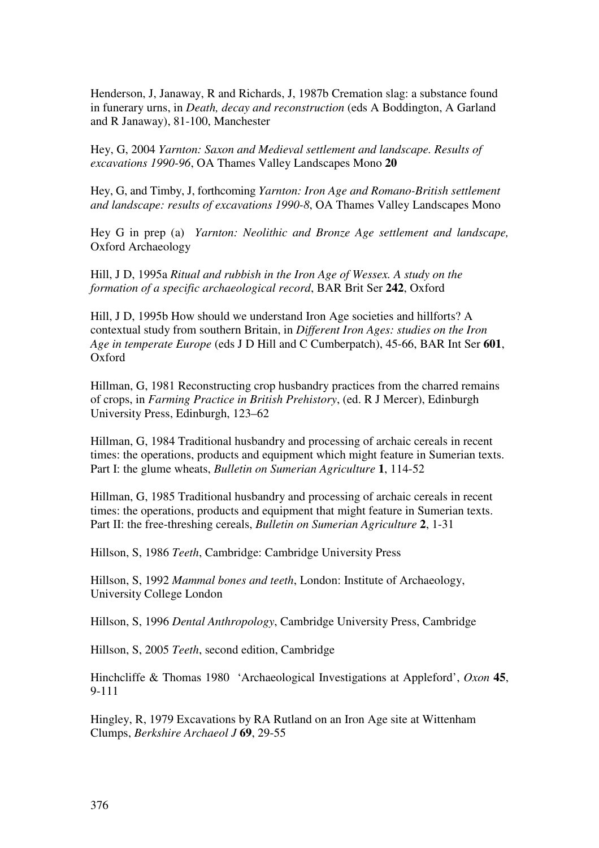Henderson, J, Janaway, R and Richards, J, 1987b Cremation slag: a substance found in funerary urns, in *Death, decay and reconstruction* (eds A Boddington, A Garland and R Janaway), 81-100, Manchester

Hey, G, 2004 *Yarnton: Saxon and Medieval settlement and landscape. Results of excavations 1990-96*, OA Thames Valley Landscapes Mono **20**

Hey, G, and Timby, J, forthcoming *Yarnton: Iron Age and Romano-British settlement and landscape: results of excavations 1990-8*, OA Thames Valley Landscapes Mono

Hey G in prep (a) *Yarnton: Neolithic and Bronze Age settlement and landscape,*  Oxford Archaeology

Hill, J D, 1995a *Ritual and rubbish in the Iron Age of Wessex. A study on the formation of a specific archaeological record*, BAR Brit Ser **242**, Oxford

Hill, J D, 1995b How should we understand Iron Age societies and hillforts? A contextual study from southern Britain, in *Different Iron Ages: studies on the Iron Age in temperate Europe* (eds J D Hill and C Cumberpatch), 45-66, BAR Int Ser **601**, Oxford

Hillman, G, 1981 Reconstructing crop husbandry practices from the charred remains of crops, in *Farming Practice in British Prehistory*, (ed. R J Mercer), Edinburgh University Press, Edinburgh, 123–62

Hillman, G, 1984 Traditional husbandry and processing of archaic cereals in recent times: the operations, products and equipment which might feature in Sumerian texts. Part I: the glume wheats, *Bulletin on Sumerian Agriculture* **1**, 114-52

Hillman, G, 1985 Traditional husbandry and processing of archaic cereals in recent times: the operations, products and equipment that might feature in Sumerian texts. Part II: the free-threshing cereals, *Bulletin on Sumerian Agriculture* **2**, 1-31

Hillson, S, 1986 *Teeth*, Cambridge: Cambridge University Press

Hillson, S, 1992 *Mammal bones and teeth*, London: Institute of Archaeology, University College London

Hillson, S, 1996 *Dental Anthropology*, Cambridge University Press, Cambridge

Hillson, S, 2005 *Teeth*, second edition, Cambridge

Hinchcliffe & Thomas 1980 'Archaeological Investigations at Appleford', *Oxon* **45**, 9-111

Hingley, R, 1979 Excavations by RA Rutland on an Iron Age site at Wittenham Clumps, *Berkshire Archaeol J* **69**, 29-55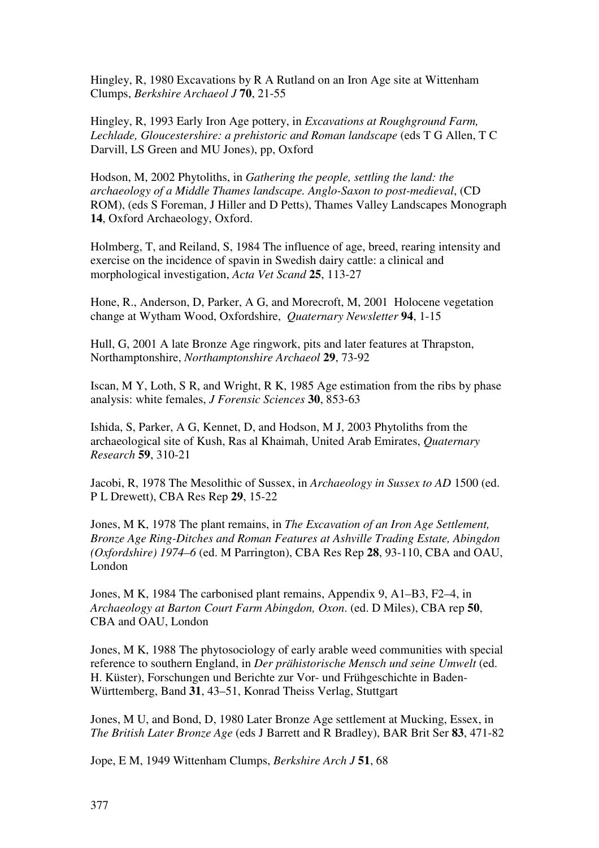Hingley, R, 1980 Excavations by R A Rutland on an Iron Age site at Wittenham Clumps, *Berkshire Archaeol J* **70**, 21-55

Hingley, R, 1993 Early Iron Age pottery, in *Excavations at Roughground Farm, Lechlade, Gloucestershire: a prehistoric and Roman landscape* (eds T G Allen, T C Darvill, LS Green and MU Jones), pp, Oxford

Hodson, M, 2002 Phytoliths, in *Gathering the people, settling the land: the archaeology of a Middle Thames landscape. Anglo-Saxon to post-medieval*, (CD ROM), (eds S Foreman, J Hiller and D Petts), Thames Valley Landscapes Monograph **14**, Oxford Archaeology, Oxford.

Holmberg, T, and Reiland, S, 1984 The influence of age, breed, rearing intensity and exercise on the incidence of spavin in Swedish dairy cattle: a clinical and morphological investigation, *Acta Vet Scand* **25**, 113-27

Hone, R., Anderson, D, Parker, A G, and Morecroft, M, 2001 Holocene vegetation change at Wytham Wood, Oxfordshire, *Quaternary Newsletter* **94**, 1-15

Hull, G, 2001 A late Bronze Age ringwork, pits and later features at Thrapston, Northamptonshire, *Northamptonshire Archaeol* **29**, 73-92

Iscan, M Y, Loth, S R, and Wright, R K, 1985 Age estimation from the ribs by phase analysis: white females, *J Forensic Sciences* **30**, 853-63

Ishida, S, Parker, A G, Kennet, D, and Hodson, M J, 2003 Phytoliths from the archaeological site of Kush, Ras al Khaimah, United Arab Emirates, *Quaternary Research* **59**, 310-21

Jacobi, R, 1978 The Mesolithic of Sussex, in *Archaeology in Sussex to AD* 1500 (ed. P L Drewett), CBA Res Rep **29**, 15-22

Jones, M K, 1978 The plant remains, in *The Excavation of an Iron Age Settlement, Bronze Age Ring-Ditches and Roman Features at Ashville Trading Estate, Abingdon (Oxfordshire) 1974–6* (ed. M Parrington), CBA Res Rep **28**, 93-110, CBA and OAU, London

Jones, M K, 1984 The carbonised plant remains, Appendix 9, A1–B3, F2–4, in *Archaeology at Barton Court Farm Abingdon, Oxon*. (ed. D Miles), CBA rep **50**, CBA and OAU, London

Jones, M K, 1988 The phytosociology of early arable weed communities with special reference to southern England, in *Der prähistorische Mensch und seine Umwelt* (ed. H. Küster), Forschungen und Berichte zur Vor- und Frühgeschichte in Baden-Württemberg, Band **31**, 43–51, Konrad Theiss Verlag, Stuttgart

Jones, M U, and Bond, D, 1980 Later Bronze Age settlement at Mucking, Essex, in *The British Later Bronze Age* (eds J Barrett and R Bradley), BAR Brit Ser **83**, 471-82

Jope, E M, 1949 Wittenham Clumps, *Berkshire Arch J* **51**, 68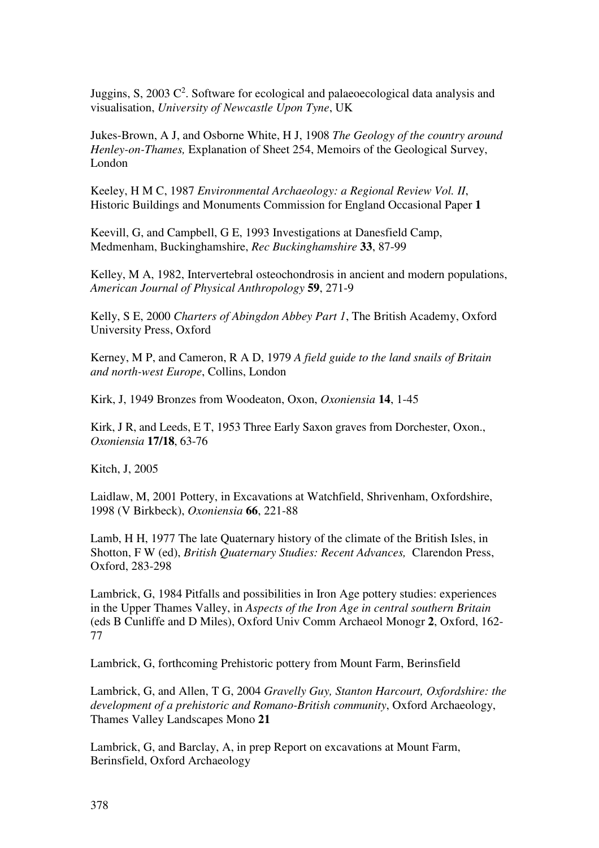Juggins, S, 2003  $C^2$ . Software for ecological and palaeoecological data analysis and visualisation, *University of Newcastle Upon Tyne*, UK

Jukes-Brown, A J, and Osborne White, H J, 1908 *The Geology of the country around Henley-on-Thames,* Explanation of Sheet 254, Memoirs of the Geological Survey, London

Keeley, H M C, 1987 *Environmental Archaeology: a Regional Review Vol. II*, Historic Buildings and Monuments Commission for England Occasional Paper **1** 

Keevill, G, and Campbell, G E, 1993 Investigations at Danesfield Camp, Medmenham, Buckinghamshire, *Rec Buckinghamshire* **33**, 87-99

Kelley, M A, 1982, Intervertebral osteochondrosis in ancient and modern populations, *American Journal of Physical Anthropology* **59**, 271-9

Kelly, S E, 2000 *Charters of Abingdon Abbey Part 1*, The British Academy, Oxford University Press, Oxford

Kerney, M P, and Cameron, R A D, 1979 *A field guide to the land snails of Britain and north-west Europe*, Collins, London

Kirk, J, 1949 Bronzes from Woodeaton, Oxon, *Oxoniensia* **14**, 1-45

Kirk, J R, and Leeds, E T, 1953 Three Early Saxon graves from Dorchester, Oxon., *Oxoniensia* **17/18**, 63-76

Kitch, J, 2005

Laidlaw, M, 2001 Pottery, in Excavations at Watchfield, Shrivenham, Oxfordshire, 1998 (V Birkbeck), *Oxoniensia* **66**, 221-88

Lamb, H H, 1977 The late Quaternary history of the climate of the British Isles, in Shotton, F W (ed), *British Quaternary Studies: Recent Advances,* Clarendon Press, Oxford, 283-298

Lambrick, G, 1984 Pitfalls and possibilities in Iron Age pottery studies: experiences in the Upper Thames Valley, in *Aspects of the Iron Age in central southern Britain* (eds B Cunliffe and D Miles), Oxford Univ Comm Archaeol Monogr **2**, Oxford, 162- 77

Lambrick, G, forthcoming Prehistoric pottery from Mount Farm, Berinsfield

Lambrick, G, and Allen, T G, 2004 *Gravelly Guy, Stanton Harcourt, Oxfordshire: the development of a prehistoric and Romano-British community*, Oxford Archaeology, Thames Valley Landscapes Mono **21**

Lambrick, G, and Barclay, A, in prep Report on excavations at Mount Farm, Berinsfield, Oxford Archaeology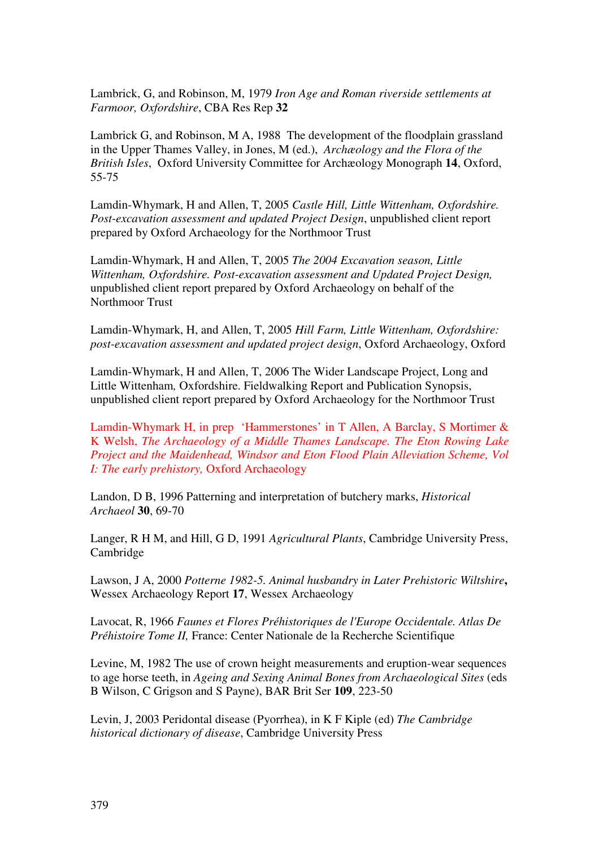Lambrick, G, and Robinson, M, 1979 *Iron Age and Roman riverside settlements at Farmoor, Oxfordshire*, CBA Res Rep **32** 

Lambrick G, and Robinson, M A, 1988 The development of the floodplain grassland in the Upper Thames Valley, in Jones, M (ed.), *Archæology and the Flora of the British Isles*, Oxford University Committee for Archæology Monograph **14**, Oxford, 55-75

Lamdin-Whymark, H and Allen, T, 2005 *Castle Hill, Little Wittenham, Oxfordshire. Post-excavation assessment and updated Project Design*, unpublished client report prepared by Oxford Archaeology for the Northmoor Trust

Lamdin-Whymark, H and Allen, T, 2005 *The 2004 Excavation season, Little Wittenham, Oxfordshire. Post-excavation assessment and Updated Project Design,* unpublished client report prepared by Oxford Archaeology on behalf of the Northmoor Trust

Lamdin-Whymark, H, and Allen, T, 2005 *Hill Farm, Little Wittenham, Oxfordshire: post-excavation assessment and updated project design*, Oxford Archaeology, Oxford

Lamdin-Whymark, H and Allen, T, 2006 The Wider Landscape Project, Long and Little Wittenham*,* Oxfordshire. Fieldwalking Report and Publication Synopsis, unpublished client report prepared by Oxford Archaeology for the Northmoor Trust

Lamdin-Whymark H, in prep 'Hammerstones' in T Allen, A Barclay, S Mortimer & K Welsh, *The Archaeology of a Middle Thames Landscape. The Eton Rowing Lake Project and the Maidenhead, Windsor and Eton Flood Plain Alleviation Scheme, Vol I: The early prehistory,* Oxford Archaeology

Landon, D B, 1996 Patterning and interpretation of butchery marks, *Historical Archaeol* **30**, 69-70

Langer, R H M, and Hill, G D, 1991 *Agricultural Plants*, Cambridge University Press, Cambridge

Lawson, J A, 2000 *Potterne 1982-5. Animal husbandry in Later Prehistoric Wiltshire***,** Wessex Archaeology Report **17**, Wessex Archaeology

Lavocat, R, 1966 *Faunes et Flores Préhistoriques de l'Europe Occidentale. Atlas De Préhistoire Tome II,* France: Center Nationale de la Recherche Scientifique

Levine, M, 1982 The use of crown height measurements and eruption-wear sequences to age horse teeth, in *Ageing and Sexing Animal Bones from Archaeological Sites* (eds B Wilson, C Grigson and S Payne), BAR Brit Ser **109**, 223-50

Levin, J, 2003 Peridontal disease (Pyorrhea), in K F Kiple (ed) *The Cambridge historical dictionary of disease*, Cambridge University Press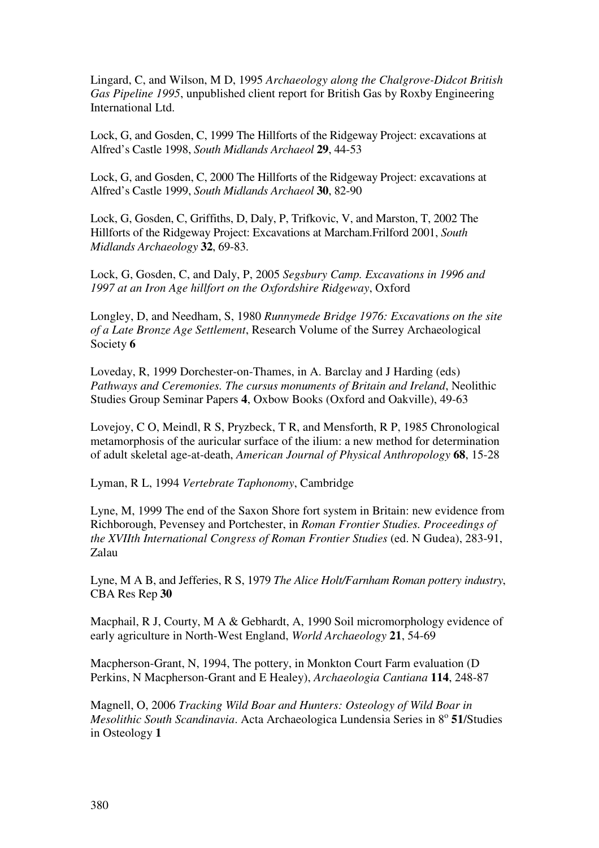Lingard, C, and Wilson, M D, 1995 *Archaeology along the Chalgrove-Didcot British Gas Pipeline 1995*, unpublished client report for British Gas by Roxby Engineering International Ltd.

Lock, G, and Gosden, C, 1999 The Hillforts of the Ridgeway Project: excavations at Alfred's Castle 1998, *South Midlands Archaeol* **29**, 44-53

Lock, G, and Gosden, C, 2000 The Hillforts of the Ridgeway Project: excavations at Alfred's Castle 1999, *South Midlands Archaeol* **30**, 82-90

Lock, G, Gosden, C, Griffiths, D, Daly, P, Trifkovic, V, and Marston, T, 2002 The Hillforts of the Ridgeway Project: Excavations at Marcham.Frilford 2001, *South Midlands Archaeology* **32**, 69-83.

Lock, G, Gosden, C, and Daly, P, 2005 *Segsbury Camp. Excavations in 1996 and 1997 at an Iron Age hillfort on the Oxfordshire Ridgeway*, Oxford

Longley, D, and Needham, S, 1980 *Runnymede Bridge 1976: Excavations on the site of a Late Bronze Age Settlement*, Research Volume of the Surrey Archaeological Society **6**

Loveday, R, 1999 Dorchester-on-Thames, in A. Barclay and J Harding (eds) *Pathways and Ceremonies. The cursus monuments of Britain and Ireland*, Neolithic Studies Group Seminar Papers **4**, Oxbow Books (Oxford and Oakville), 49-63

Lovejoy, C O, Meindl, R S, Pryzbeck, T R, and Mensforth, R P, 1985 Chronological metamorphosis of the auricular surface of the ilium: a new method for determination of adult skeletal age-at-death, *American Journal of Physical Anthropology* **68**, 15-28

Lyman, R L, 1994 *Vertebrate Taphonomy*, Cambridge

Lyne, M, 1999 The end of the Saxon Shore fort system in Britain: new evidence from Richborough, Pevensey and Portchester, in *Roman Frontier Studies. Proceedings of the XVIIth International Congress of Roman Frontier Studies* (ed. N Gudea), 283-91, Zalau

Lyne, M A B, and Jefferies, R S, 1979 *The Alice Holt/Farnham Roman pottery industry*, CBA Res Rep **30**

Macphail, R J, Courty, M A & Gebhardt, A, 1990 Soil micromorphology evidence of early agriculture in North-West England, *World Archaeology* **21**, 54-69

Macpherson-Grant, N, 1994, The pottery, in Monkton Court Farm evaluation (D Perkins, N Macpherson-Grant and E Healey), *Archaeologia Cantiana* **114**, 248-87

Magnell, O, 2006 *Tracking Wild Boar and Hunters: Osteology of Wild Boar in*  Mesolithic South Scandinavia. Acta Archaeologica Lundensia Series in 8º 51/Studies in Osteology **1**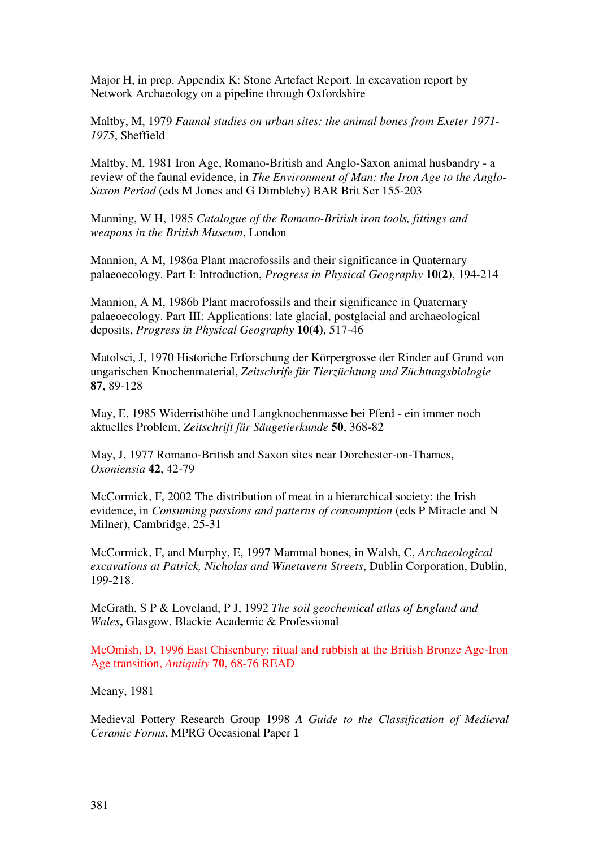Major H, in prep. Appendix K: Stone Artefact Report. In excavation report by Network Archaeology on a pipeline through Oxfordshire

Maltby, M, 1979 *Faunal studies on urban sites: the animal bones from Exeter 1971- 1975*, Sheffield

Maltby, M, 1981 Iron Age, Romano-British and Anglo-Saxon animal husbandry - a review of the faunal evidence, in *The Environment of Man: the Iron Age to the Anglo-Saxon Period* (eds M Jones and G Dimbleby) BAR Brit Ser 155-203

Manning, W H, 1985 *Catalogue of the Romano-British iron tools, fittings and weapons in the British Museum*, London

Mannion, A M, 1986a Plant macrofossils and their significance in Quaternary palaeoecology. Part I: Introduction, *Progress in Physical Geography* **10(2)**, 194-214

Mannion, A M, 1986b Plant macrofossils and their significance in Quaternary palaeoecology. Part III: Applications: late glacial, postglacial and archaeological deposits, *Progress in Physical Geography* **10(4)**, 517-46

Matolsci, J, 1970 Historiche Erforschung der Körpergrosse der Rinder auf Grund von ungarischen Knochenmaterial, *Zeitschrife für Tierzüchtung und Züchtungsbiologie* **87**, 89-128

May, E, 1985 Widerristhöhe und Langknochenmasse bei Pferd - ein immer noch aktuelles Problem, *Zeitschrift für Säugetierkunde* **50**, 368-82

May, J, 1977 Romano-British and Saxon sites near Dorchester-on-Thames, *Oxoniensia* **42**, 42-79

McCormick, F, 2002 The distribution of meat in a hierarchical society: the Irish evidence, in *Consuming passions and patterns of consumption* (eds P Miracle and N Milner), Cambridge, 25-31

McCormick, F, and Murphy, E, 1997 Mammal bones, in Walsh, C, *Archaeological excavations at Patrick, Nicholas and Winetavern Streets*, Dublin Corporation, Dublin, 199-218.

McGrath, S P & Loveland, P J, 1992 *The soil geochemical atlas of England and Wales***,** Glasgow, Blackie Academic & Professional

McOmish, D, 1996 East Chisenbury: ritual and rubbish at the British Bronze Age-Iron Age transition, *Antiquity* **70**, 68-76 READ

Meany, 1981

Medieval Pottery Research Group 1998 *A Guide to the Classification of Medieval Ceramic Forms*, MPRG Occasional Paper **1**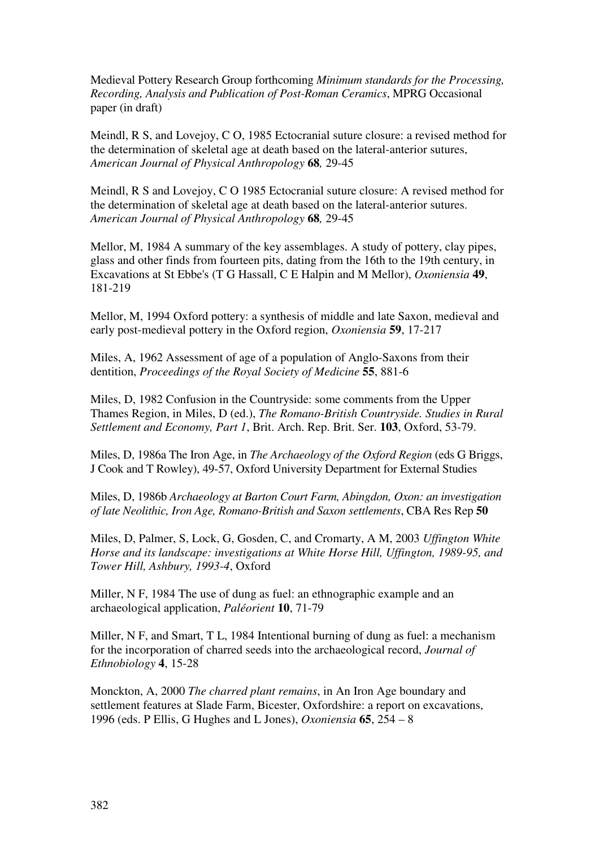Medieval Pottery Research Group forthcoming *Minimum standards for the Processing, Recording, Analysis and Publication of Post-Roman Ceramics*, MPRG Occasional paper (in draft)

Meindl, R S, and Lovejoy, C O, 1985 Ectocranial suture closure: a revised method for the determination of skeletal age at death based on the lateral-anterior sutures, *American Journal of Physical Anthropology* **68***,* 29-45

Meindl, R S and Lovejoy, C O 1985 Ectocranial suture closure: A revised method for the determination of skeletal age at death based on the lateral-anterior sutures. *American Journal of Physical Anthropology* **68***,* 29-45

Mellor, M, 1984 A summary of the key assemblages. A study of pottery, clay pipes, glass and other finds from fourteen pits, dating from the 16th to the 19th century, in Excavations at St Ebbe's (T G Hassall, C E Halpin and M Mellor), *Oxoniensia* **49**, 181-219

Mellor, M, 1994 Oxford pottery: a synthesis of middle and late Saxon, medieval and early post-medieval pottery in the Oxford region, *Oxoniensia* **59**, 17-217

Miles, A, 1962 Assessment of age of a population of Anglo-Saxons from their dentition, *Proceedings of the Royal Society of Medicine* **55**, 881-6

Miles, D, 1982 Confusion in the Countryside: some comments from the Upper Thames Region, in Miles, D (ed.), *The Romano-British Countryside. Studies in Rural Settlement and Economy, Part 1*, Brit. Arch. Rep. Brit. Ser. **103**, Oxford, 53-79.

Miles, D, 1986a The Iron Age, in *The Archaeology of the Oxford Region* (eds G Briggs, J Cook and T Rowley), 49-57, Oxford University Department for External Studies

Miles, D, 1986b *Archaeology at Barton Court Farm, Abingdon, Oxon: an investigation of late Neolithic, Iron Age, Romano-British and Saxon settlements*, CBA Res Rep **50**

Miles, D, Palmer, S, Lock, G, Gosden, C, and Cromarty, A M, 2003 *Uffington White Horse and its landscape: investigations at White Horse Hill, Uffington, 1989-95, and Tower Hill, Ashbury, 1993-4*, Oxford

Miller, N F, 1984 The use of dung as fuel: an ethnographic example and an archaeological application, *Paléorient* **10**, 71-79

Miller, N F, and Smart, T L, 1984 Intentional burning of dung as fuel: a mechanism for the incorporation of charred seeds into the archaeological record, *Journal of Ethnobiology* **4**, 15-28

Monckton, A, 2000 *The charred plant remains*, in An Iron Age boundary and settlement features at Slade Farm, Bicester, Oxfordshire: a report on excavations, 1996 (eds. P Ellis, G Hughes and L Jones), *Oxoniensia* **65**, 254 – 8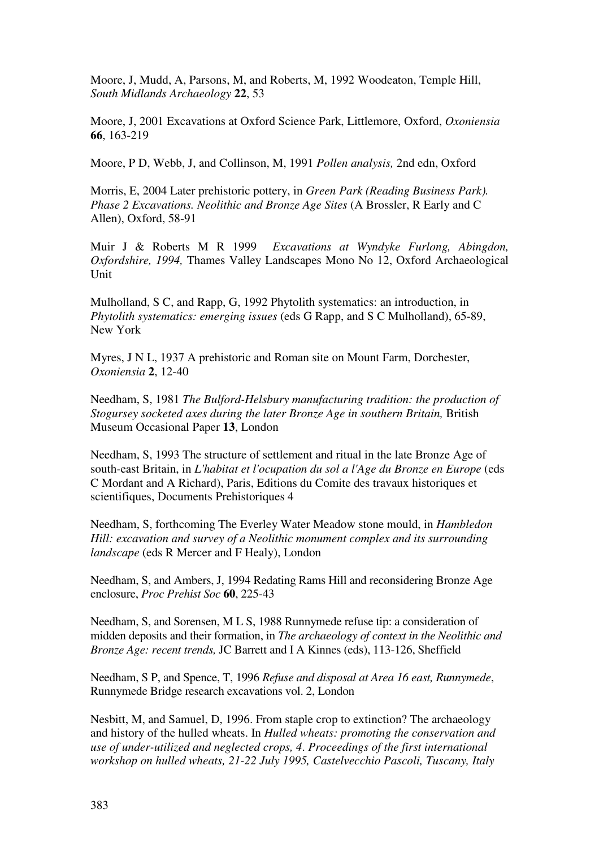Moore, J, Mudd, A, Parsons, M, and Roberts, M, 1992 Woodeaton, Temple Hill, *South Midlands Archaeology* **22**, 53

Moore, J, 2001 Excavations at Oxford Science Park, Littlemore, Oxford, *Oxoniensia* **66**, 163-219

Moore, P D, Webb, J, and Collinson, M, 1991 *Pollen analysis,* 2nd edn, Oxford

Morris, E, 2004 Later prehistoric pottery, in *Green Park (Reading Business Park). Phase 2 Excavations. Neolithic and Bronze Age Sites* (A Brossler, R Early and C Allen), Oxford, 58-91

Muir J & Roberts M R 1999 *Excavations at Wyndyke Furlong, Abingdon, Oxfordshire, 1994,* Thames Valley Landscapes Mono No 12, Oxford Archaeological Unit

Mulholland, S C, and Rapp, G, 1992 Phytolith systematics: an introduction, in *Phytolith systematics: emerging issues* (eds G Rapp, and S C Mulholland), 65-89, New York

Myres, J N L, 1937 A prehistoric and Roman site on Mount Farm, Dorchester, *Oxoniensia* **2**, 12-40

Needham, S, 1981 *The Bulford-Helsbury manufacturing tradition: the production of Stogursey socketed axes during the later Bronze Age in southern Britain,* British Museum Occasional Paper **13**, London

Needham, S, 1993 The structure of settlement and ritual in the late Bronze Age of south-east Britain, in *L'habitat et l'ocupation du sol a l'Age du Bronze en Europe* (eds C Mordant and A Richard), Paris, Editions du Comite des travaux historiques et scientifiques, Documents Prehistoriques 4

Needham, S, forthcoming The Everley Water Meadow stone mould, in *Hambledon Hill: excavation and survey of a Neolithic monument complex and its surrounding landscape* (eds R Mercer and F Healy), London

Needham, S, and Ambers, J, 1994 Redating Rams Hill and reconsidering Bronze Age enclosure, *Proc Prehist Soc* **60**, 225-43

Needham, S, and Sorensen, M L S, 1988 Runnymede refuse tip: a consideration of midden deposits and their formation, in *The archaeology of context in the Neolithic and Bronze Age: recent trends,* JC Barrett and I A Kinnes (eds), 113-126, Sheffield

Needham, S P, and Spence, T, 1996 *Refuse and disposal at Area 16 east, Runnymede*, Runnymede Bridge research excavations vol. 2, London

Nesbitt, M, and Samuel, D, 1996. From staple crop to extinction? The archaeology and history of the hulled wheats. In *Hulled wheats: promoting the conservation and use of under-utilized and neglected crops, 4*. *Proceedings of the first international workshop on hulled wheats, 21-22 July 1995, Castelvecchio Pascoli, Tuscany, Italy*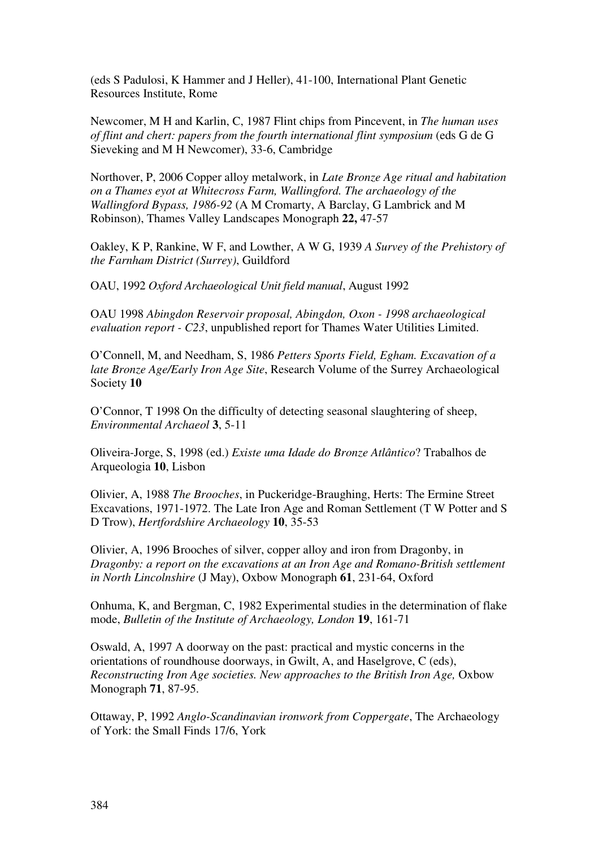(eds S Padulosi, K Hammer and J Heller), 41-100, International Plant Genetic Resources Institute, Rome

Newcomer, M H and Karlin, C, 1987 Flint chips from Pincevent, in *The human uses of flint and chert: papers from the fourth international flint symposium* (eds G de G Sieveking and M H Newcomer), 33-6, Cambridge

Northover, P, 2006 Copper alloy metalwork, in *Late Bronze Age ritual and habitation on a Thames eyot at Whitecross Farm, Wallingford. The archaeology of the Wallingford Bypass, 1986-92* (A M Cromarty, A Barclay, G Lambrick and M Robinson), Thames Valley Landscapes Monograph **22,** 47-57

Oakley, K P, Rankine, W F, and Lowther, A W G, 1939 *A Survey of the Prehistory of the Farnham District (Surrey)*, Guildford

OAU, 1992 *Oxford Archaeological Unit field manual*, August 1992

OAU 1998 *Abingdon Reservoir proposal, Abingdon, Oxon - 1998 archaeological evaluation report - C23*, unpublished report for Thames Water Utilities Limited.

O'Connell, M, and Needham, S, 1986 *Petters Sports Field, Egham. Excavation of a late Bronze Age/Early Iron Age Site*, Research Volume of the Surrey Archaeological Society **10** 

O'Connor, T 1998 On the difficulty of detecting seasonal slaughtering of sheep, *Environmental Archaeol* **3**, 5-11

Oliveira-Jorge, S, 1998 (ed.) *Existe uma Idade do Bronze Atlântico*? Trabalhos de Arqueologia **10**, Lisbon

Olivier, A, 1988 *The Brooches*, in Puckeridge-Braughing, Herts: The Ermine Street Excavations, 1971-1972. The Late Iron Age and Roman Settlement (T W Potter and S D Trow), *Hertfordshire Archaeology* **10**, 35-53

Olivier, A, 1996 Brooches of silver, copper alloy and iron from Dragonby, in *Dragonby: a report on the excavations at an Iron Age and Romano-British settlement in North Lincolnshire* (J May), Oxbow Monograph **61**, 231-64, Oxford

Onhuma, K, and Bergman, C, 1982 Experimental studies in the determination of flake mode, *Bulletin of the Institute of Archaeology, London* **19**, 161-71

Oswald, A, 1997 A doorway on the past: practical and mystic concerns in the orientations of roundhouse doorways, in Gwilt, A, and Haselgrove, C (eds), *Reconstructing Iron Age societies. New approaches to the British Iron Age,* Oxbow Monograph **71**, 87-95.

Ottaway, P, 1992 *Anglo-Scandinavian ironwork from Coppergate*, The Archaeology of York: the Small Finds 17/6, York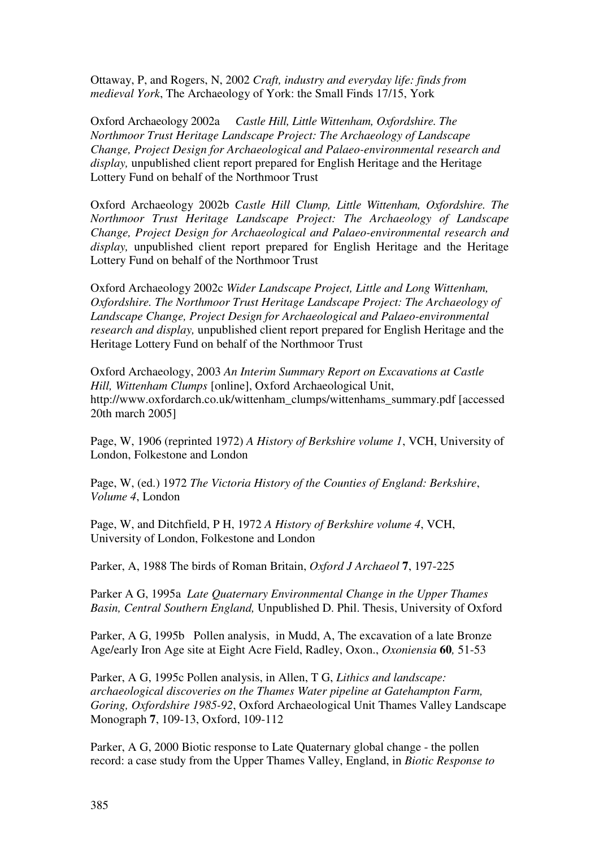Ottaway, P, and Rogers, N, 2002 *Craft, industry and everyday life: finds from medieval York*, The Archaeology of York: the Small Finds 17/15, York

Oxford Archaeology 2002a *Castle Hill, Little Wittenham, Oxfordshire. The Northmoor Trust Heritage Landscape Project: The Archaeology of Landscape Change, Project Design for Archaeological and Palaeo-environmental research and display,* unpublished client report prepared for English Heritage and the Heritage Lottery Fund on behalf of the Northmoor Trust

Oxford Archaeology 2002b *Castle Hill Clump, Little Wittenham, Oxfordshire. The Northmoor Trust Heritage Landscape Project: The Archaeology of Landscape Change, Project Design for Archaeological and Palaeo-environmental research and display,* unpublished client report prepared for English Heritage and the Heritage Lottery Fund on behalf of the Northmoor Trust

Oxford Archaeology 2002c *Wider Landscape Project, Little and Long Wittenham, Oxfordshire. The Northmoor Trust Heritage Landscape Project: The Archaeology of Landscape Change, Project Design for Archaeological and Palaeo-environmental research and display,* unpublished client report prepared for English Heritage and the Heritage Lottery Fund on behalf of the Northmoor Trust

Oxford Archaeology, 2003 *An Interim Summary Report on Excavations at Castle Hill, Wittenham Clumps* [online], Oxford Archaeological Unit, http://www.oxfordarch.co.uk/wittenham\_clumps/wittenhams\_summary.pdf [accessed 20th march 2005]

Page, W, 1906 (reprinted 1972) *A History of Berkshire volume 1*, VCH, University of London, Folkestone and London

Page, W, (ed.) 1972 *The Victoria History of the Counties of England: Berkshire*, *Volume 4*, London

Page, W, and Ditchfield, P H, 1972 *A History of Berkshire volume 4*, VCH, University of London, Folkestone and London

Parker, A, 1988 The birds of Roman Britain, *Oxford J Archaeol* **7**, 197-225

Parker A G, 1995a *Late Quaternary Environmental Change in the Upper Thames Basin, Central Southern England,* Unpublished D. Phil. Thesis, University of Oxford

Parker, A G, 1995b Pollen analysis, in Mudd, A, The excavation of a late Bronze Age/early Iron Age site at Eight Acre Field, Radley, Oxon., *Oxoniensia* **60***,* 51-53

 Parker, A G, 1995c Pollen analysis, in Allen, T G, *Lithics and landscape: archaeological discoveries on the Thames Water pipeline at Gatehampton Farm, Goring, Oxfordshire 1985-92*, Oxford Archaeological Unit Thames Valley Landscape Monograph **7**, 109-13, Oxford, 109-112

Parker, A G, 2000 Biotic response to Late Quaternary global change - the pollen record: a case study from the Upper Thames Valley, England, in *Biotic Response to*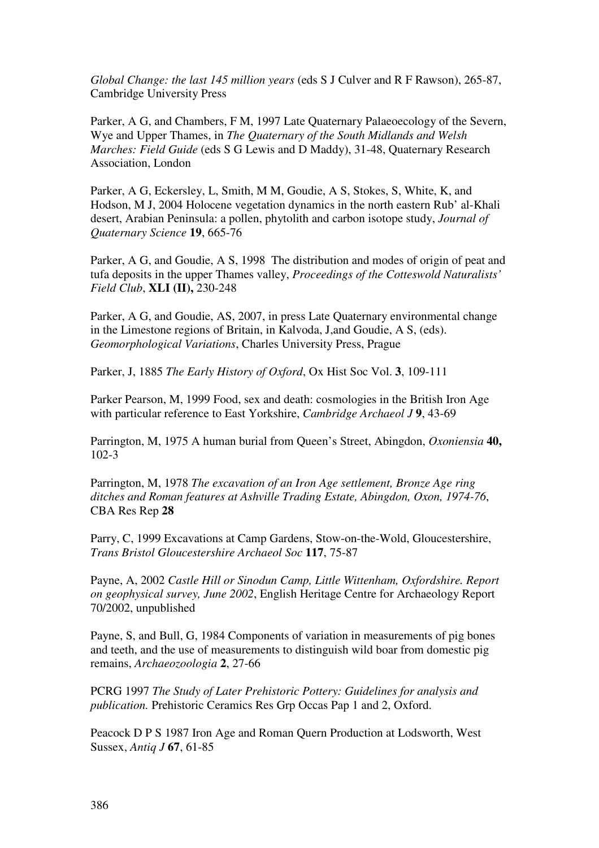*Global Change: the last 145 million years* (eds S J Culver and R F Rawson), 265-87, Cambridge University Press

Parker, A G, and Chambers, F M, 1997 Late Quaternary Palaeoecology of the Severn, Wye and Upper Thames, in *The Quaternary of the South Midlands and Welsh Marches: Field Guide* (eds S G Lewis and D Maddy), 31-48, Quaternary Research Association, London

Parker, A G, Eckersley, L, Smith, M M, Goudie, A S, Stokes, S, White, K, and Hodson, M J, 2004 Holocene vegetation dynamics in the north eastern Rub' al-Khali desert, Arabian Peninsula: a pollen, phytolith and carbon isotope study, *Journal of Quaternary Science* **19**, 665-76

Parker, A G, and Goudie, A S, 1998 The distribution and modes of origin of peat and tufa deposits in the upper Thames valley, *Proceedings of the Cotteswold Naturalists' Field Club*, **XLI (II),** 230-248

Parker, A G, and Goudie, AS, 2007, in press Late Quaternary environmental change in the Limestone regions of Britain, in Kalvoda, J,and Goudie, A S, (eds). *Geomorphological Variations*, Charles University Press, Prague

Parker, J, 1885 *The Early History of Oxford*, Ox Hist Soc Vol. **3**, 109-111

Parker Pearson, M, 1999 Food, sex and death: cosmologies in the British Iron Age with particular reference to East Yorkshire, *Cambridge Archaeol J* **9**, 43-69

Parrington, M, 1975 A human burial from Queen's Street, Abingdon, *Oxoniensia* **40,**  102-3

Parrington, M, 1978 *The excavation of an Iron Age settlement, Bronze Age ring ditches and Roman features at Ashville Trading Estate, Abingdon, Oxon, 1974-76*, CBA Res Rep **28**

Parry, C, 1999 Excavations at Camp Gardens, Stow-on-the-Wold, Gloucestershire, *Trans Bristol Gloucestershire Archaeol Soc* **117**, 75-87

Payne, A, 2002 *Castle Hill or Sinodun Camp, Little Wittenham, Oxfordshire. Report on geophysical survey, June 2002*, English Heritage Centre for Archaeology Report 70/2002, unpublished

Payne, S, and Bull, G, 1984 Components of variation in measurements of pig bones and teeth, and the use of measurements to distinguish wild boar from domestic pig remains, *Archaeozoologia* **2**, 27-66

PCRG 1997 *The Study of Later Prehistoric Pottery: Guidelines for analysis and publication.* Prehistoric Ceramics Res Grp Occas Pap 1 and 2, Oxford.

Peacock D P S 1987 Iron Age and Roman Quern Production at Lodsworth, West Sussex, *Antiq J* **67**, 61-85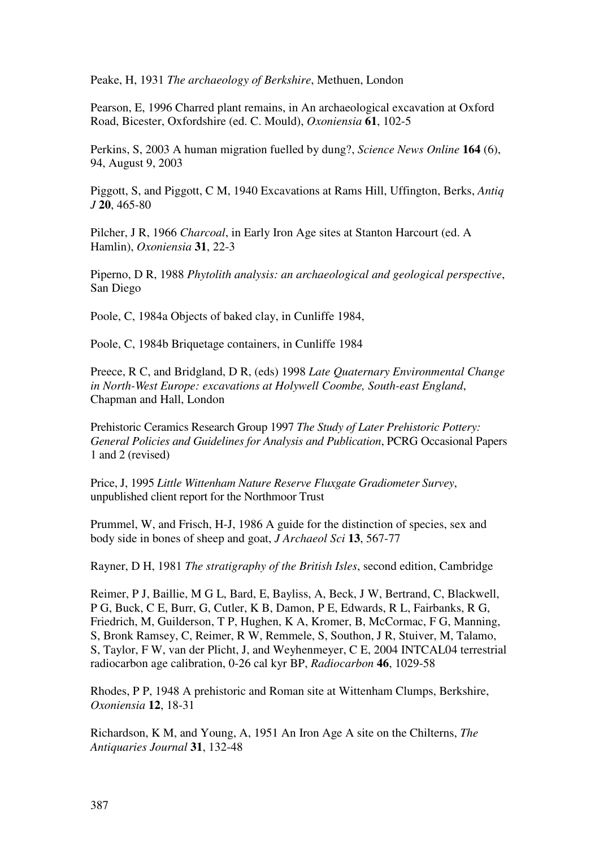Peake, H, 1931 *The archaeology of Berkshire*, Methuen, London

Pearson, E, 1996 Charred plant remains, in An archaeological excavation at Oxford Road, Bicester, Oxfordshire (ed. C. Mould), *Oxoniensia* **61**, 102-5

Perkins, S, 2003 A human migration fuelled by dung?, *Science News Online* **164** (6), 94, August 9, 2003

Piggott, S, and Piggott, C M, 1940 Excavations at Rams Hill, Uffington, Berks, *Antiq J* **20**, 465-80

Pilcher, J R, 1966 *Charcoal*, in Early Iron Age sites at Stanton Harcourt (ed. A Hamlin), *Oxoniensia* **31**, 22-3

Piperno, D R, 1988 *Phytolith analysis: an archaeological and geological perspective*, San Diego

Poole, C, 1984a Objects of baked clay, in Cunliffe 1984,

Poole, C, 1984b Briquetage containers, in Cunliffe 1984

Preece, R C, and Bridgland, D R, (eds) 1998 *Late Quaternary Environmental Change in North-West Europe: excavations at Holywell Coombe, South-east England*, Chapman and Hall, London

Prehistoric Ceramics Research Group 1997 *The Study of Later Prehistoric Pottery: General Policies and Guidelines for Analysis and Publication*, PCRG Occasional Papers 1 and 2 (revised)

Price, J, 1995 *Little Wittenham Nature Reserve Fluxgate Gradiometer Survey*, unpublished client report for the Northmoor Trust

Prummel, W, and Frisch, H-J, 1986 A guide for the distinction of species, sex and body side in bones of sheep and goat, *J Archaeol Sci* **13**, 567-77

Rayner, D H, 1981 *The stratigraphy of the British Isles*, second edition, Cambridge

Reimer, P J, Baillie, M G L, Bard, E, Bayliss, A, Beck, J W, Bertrand, C, Blackwell, P G, Buck, C E, Burr, G, Cutler, K B, Damon, P E, Edwards, R L, Fairbanks, R G, Friedrich, M, Guilderson, T P, Hughen, K A, Kromer, B, McCormac, F G, Manning, S, Bronk Ramsey, C, Reimer, R W, Remmele, S, Southon, J R, Stuiver, M, Talamo, S, Taylor, F W, van der Plicht, J, and Weyhenmeyer, C E, 2004 INTCAL04 terrestrial radiocarbon age calibration, 0-26 cal kyr BP, *Radiocarbon* **46**, 1029-58

Rhodes, P P, 1948 A prehistoric and Roman site at Wittenham Clumps, Berkshire, *Oxoniensia* **12**, 18-31

Richardson, K M, and Young, A, 1951 An Iron Age A site on the Chilterns, *The Antiquaries Journal* **31**, 132-48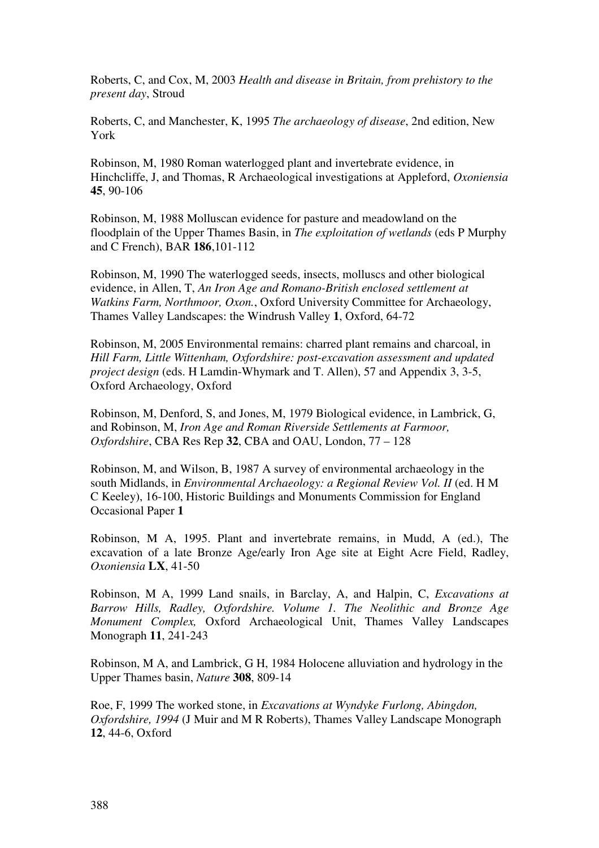Roberts, C, and Cox, M, 2003 *Health and disease in Britain, from prehistory to the present day*, Stroud

Roberts, C, and Manchester, K, 1995 *The archaeology of disease*, 2nd edition, New York

Robinson, M, 1980 Roman waterlogged plant and invertebrate evidence, in Hinchcliffe, J, and Thomas, R Archaeological investigations at Appleford, *Oxoniensia* **45**, 90-106

Robinson, M, 1988 Molluscan evidence for pasture and meadowland on the floodplain of the Upper Thames Basin, in *The exploitation of wetlands* (eds P Murphy and C French), BAR **186**,101-112

Robinson, M, 1990 The waterlogged seeds, insects, molluscs and other biological evidence, in Allen, T, *An Iron Age and Romano-British enclosed settlement at Watkins Farm, Northmoor, Oxon.*, Oxford University Committee for Archaeology, Thames Valley Landscapes: the Windrush Valley **1**, Oxford, 64-72

Robinson, M, 2005 Environmental remains: charred plant remains and charcoal, in *Hill Farm, Little Wittenham, Oxfordshire: post-excavation assessment and updated project design* (eds. H Lamdin-Whymark and T. Allen), 57 and Appendix 3, 3-5, Oxford Archaeology, Oxford

Robinson, M, Denford, S, and Jones, M, 1979 Biological evidence, in Lambrick, G, and Robinson, M, *Iron Age and Roman Riverside Settlements at Farmoor, Oxfordshire*, CBA Res Rep **32**, CBA and OAU, London, 77 – 128

Robinson, M, and Wilson, B, 1987 A survey of environmental archaeology in the south Midlands, in *Environmental Archaeology: a Regional Review Vol. II* (ed. H M C Keeley), 16-100, Historic Buildings and Monuments Commission for England Occasional Paper **1**

Robinson, M A, 1995. Plant and invertebrate remains, in Mudd, A (ed.), The excavation of a late Bronze Age/early Iron Age site at Eight Acre Field, Radley, *Oxoniensia* **LX**, 41-50

Robinson, M A, 1999 Land snails, in Barclay, A, and Halpin, C, *Excavations at Barrow Hills, Radley, Oxfordshire. Volume 1. The Neolithic and Bronze Age Monument Complex,* Oxford Archaeological Unit, Thames Valley Landscapes Monograph **11**, 241-243

Robinson, M A, and Lambrick, G H, 1984 Holocene alluviation and hydrology in the Upper Thames basin, *Nature* **308**, 809-14

Roe, F, 1999 The worked stone, in *Excavations at Wyndyke Furlong, Abingdon, Oxfordshire, 1994* (J Muir and M R Roberts), Thames Valley Landscape Monograph **12**, 44-6, Oxford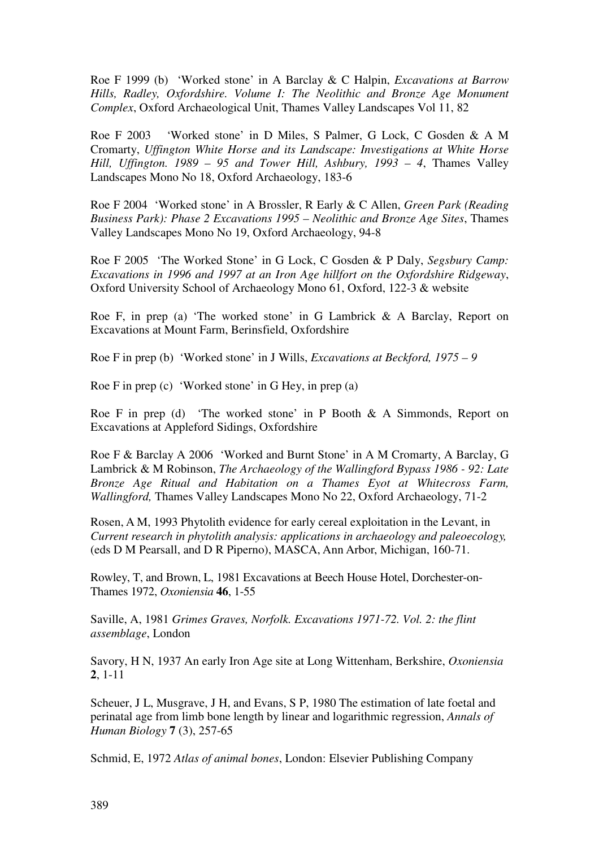Roe F 1999 (b) 'Worked stone' in A Barclay & C Halpin, *Excavations at Barrow Hills, Radley, Oxfordshire. Volume I: The Neolithic and Bronze Age Monument Complex*, Oxford Archaeological Unit, Thames Valley Landscapes Vol 11, 82

Roe F 2003 'Worked stone' in D Miles, S Palmer, G Lock, C Gosden & A M Cromarty, *Uffington White Horse and its Landscape: Investigations at White Horse Hill, Uffington. 1989 – 95 and Tower Hill, Ashbury, 1993 – 4*, Thames Valley Landscapes Mono No 18, Oxford Archaeology, 183-6

Roe F 2004 'Worked stone' in A Brossler, R Early & C Allen, *Green Park (Reading Business Park): Phase 2 Excavations 1995 – Neolithic and Bronze Age Sites*, Thames Valley Landscapes Mono No 19, Oxford Archaeology, 94-8

Roe F 2005 'The Worked Stone' in G Lock, C Gosden & P Daly, *Segsbury Camp: Excavations in 1996 and 1997 at an Iron Age hillfort on the Oxfordshire Ridgeway*, Oxford University School of Archaeology Mono 61, Oxford, 122-3 & website

Roe F, in prep (a) 'The worked stone' in G Lambrick & A Barclay, Report on Excavations at Mount Farm, Berinsfield, Oxfordshire

Roe F in prep (b) 'Worked stone' in J Wills, *Excavations at Beckford, 1975 – 9* 

Roe F in prep (c) 'Worked stone' in G Hey, in prep (a)

Roe F in prep (d) 'The worked stone' in P Booth & A Simmonds, Report on Excavations at Appleford Sidings, Oxfordshire

Roe F & Barclay A 2006 'Worked and Burnt Stone' in A M Cromarty, A Barclay, G Lambrick & M Robinson, *The Archaeology of the Wallingford Bypass 1986 - 92: Late Bronze Age Ritual and Habitation on a Thames Eyot at Whitecross Farm, Wallingford,* Thames Valley Landscapes Mono No 22, Oxford Archaeology, 71-2

Rosen, A M, 1993 Phytolith evidence for early cereal exploitation in the Levant, in *Current research in phytolith analysis: applications in archaeology and paleoecology,* (eds D M Pearsall, and D R Piperno), MASCA, Ann Arbor, Michigan, 160-71.

Rowley, T, and Brown, L, 1981 Excavations at Beech House Hotel, Dorchester-on-Thames 1972, *Oxoniensia* **46**, 1-55

Saville, A, 1981 *Grimes Graves, Norfolk. Excavations 1971-72. Vol. 2: the flint assemblage*, London

Savory, H N, 1937 An early Iron Age site at Long Wittenham, Berkshire, *Oxoniensia*  **2**, 1-11

Scheuer, J L, Musgrave, J H, and Evans, S P, 1980 The estimation of late foetal and perinatal age from limb bone length by linear and logarithmic regression, *Annals of Human Biology* **7** (3), 257-65

Schmid, E, 1972 *Atlas of animal bones*, London: Elsevier Publishing Company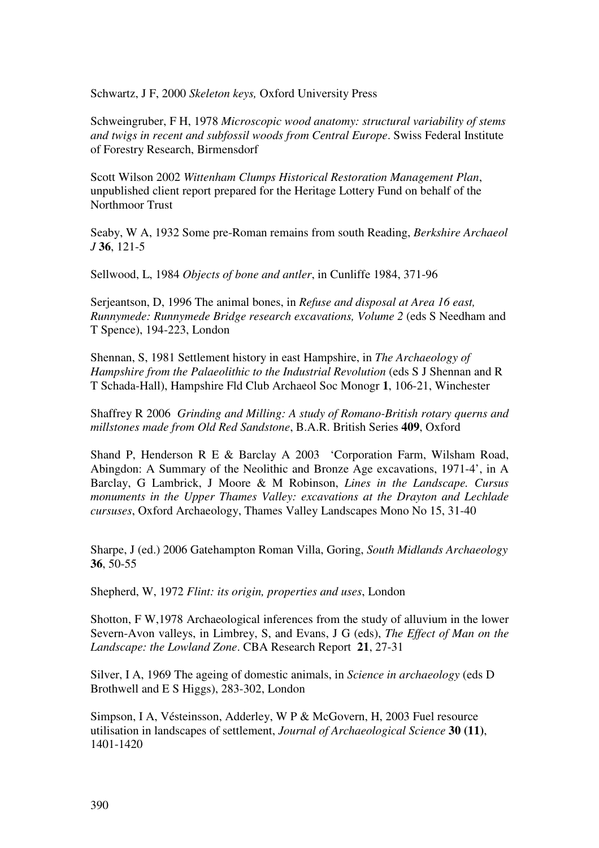Schwartz, J F, 2000 *Skeleton keys,* Oxford University Press

Schweingruber, F H, 1978 *Microscopic wood anatomy: structural variability of stems and twigs in recent and subfossil woods from Central Europe*. Swiss Federal Institute of Forestry Research, Birmensdorf

Scott Wilson 2002 *Wittenham Clumps Historical Restoration Management Plan*, unpublished client report prepared for the Heritage Lottery Fund on behalf of the Northmoor Trust

Seaby, W A, 1932 Some pre-Roman remains from south Reading, *Berkshire Archaeol J* **36**, 121-5

Sellwood, L, 1984 *Objects of bone and antler*, in Cunliffe 1984, 371-96

Serjeantson, D, 1996 The animal bones, in *Refuse and disposal at Area 16 east, Runnymede: Runnymede Bridge research excavations, Volume 2* (eds S Needham and T Spence), 194-223, London

Shennan, S, 1981 Settlement history in east Hampshire, in *The Archaeology of Hampshire from the Palaeolithic to the Industrial Revolution* (eds S J Shennan and R T Schada-Hall), Hampshire Fld Club Archaeol Soc Monogr **1**, 106-21, Winchester

Shaffrey R 2006 *Grinding and Milling: A study of Romano-British rotary querns and millstones made from Old Red Sandstone*, B.A.R. British Series **409**, Oxford

Shand P, Henderson R E & Barclay A 2003 'Corporation Farm, Wilsham Road, Abingdon: A Summary of the Neolithic and Bronze Age excavations, 1971-4', in A Barclay, G Lambrick, J Moore & M Robinson, *Lines in the Landscape. Cursus monuments in the Upper Thames Valley: excavations at the Drayton and Lechlade cursuses*, Oxford Archaeology, Thames Valley Landscapes Mono No 15, 31-40

Sharpe, J (ed.) 2006 Gatehampton Roman Villa, Goring, *South Midlands Archaeology*  **36**, 50-55

Shepherd, W, 1972 *Flint: its origin, properties and uses*, London

Shotton, F W,1978 Archaeological inferences from the study of alluvium in the lower Severn-Avon valleys, in Limbrey, S, and Evans, J G (eds), *The Effect of Man on the Landscape: the Lowland Zone*. CBA Research Report **21**, 27-31

Silver, I A, 1969 The ageing of domestic animals, in *Science in archaeology* (eds D Brothwell and E S Higgs), 283-302, London

Simpson, I A, Vésteinsson, Adderley, W P & McGovern, H, 2003 Fuel resource utilisation in landscapes of settlement, *Journal of Archaeological Science* **30 (11)**, 1401-1420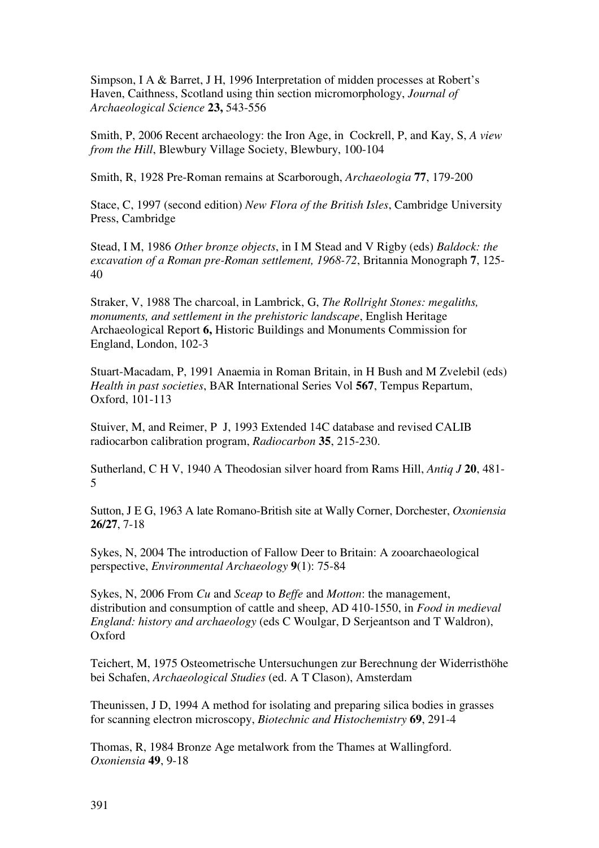Simpson, I A & Barret, J H, 1996 Interpretation of midden processes at Robert's Haven, Caithness, Scotland using thin section micromorphology, *Journal of Archaeological Science* **23,** 543-556

Smith, P, 2006 Recent archaeology: the Iron Age, in Cockrell, P, and Kay, S, *A view from the Hill*, Blewbury Village Society, Blewbury, 100-104

Smith, R, 1928 Pre-Roman remains at Scarborough, *Archaeologia* **77**, 179-200

Stace, C, 1997 (second edition) *New Flora of the British Isles*, Cambridge University Press, Cambridge

Stead, I M, 1986 *Other bronze objects*, in I M Stead and V Rigby (eds) *Baldock: the excavation of a Roman pre-Roman settlement, 1968-72*, Britannia Monograph **7**, 125- 40

Straker, V, 1988 The charcoal, in Lambrick, G, *The Rollright Stones: megaliths, monuments, and settlement in the prehistoric landscape*, English Heritage Archaeological Report **6,** Historic Buildings and Monuments Commission for England, London, 102-3

Stuart-Macadam, P, 1991 Anaemia in Roman Britain, in H Bush and M Zvelebil (eds) *Health in past societies*, BAR International Series Vol **567**, Tempus Repartum, Oxford, 101-113

Stuiver, M, and Reimer, P J, 1993 Extended 14C database and revised CALIB radiocarbon calibration program, *Radiocarbon* **35**, 215-230.

Sutherland, C H V, 1940 A Theodosian silver hoard from Rams Hill, *Antiq J* **20**, 481- 5

Sutton, J E G, 1963 A late Romano-British site at Wally Corner, Dorchester, *Oxoniensia* **26/27**, 7-18

Sykes, N, 2004 The introduction of Fallow Deer to Britain: A zooarchaeological perspective, *Environmental Archaeology* **9**(1): 75-84

Sykes, N, 2006 From *Cu* and *Sceap* to *Beffe* and *Motton*: the management, distribution and consumption of cattle and sheep, AD 410-1550, in *Food in medieval England: history and archaeology* (eds C Woulgar, D Serjeantson and T Waldron), Oxford

Teichert, M, 1975 Osteometrische Untersuchungen zur Berechnung der Widerristhöhe bei Schafen, *Archaeological Studies* (ed. A T Clason), Amsterdam

Theunissen, J D, 1994 A method for isolating and preparing silica bodies in grasses for scanning electron microscopy, *Biotechnic and Histochemistry* **69**, 291-4

Thomas, R, 1984 Bronze Age metalwork from the Thames at Wallingford. *Oxoniensia* **49**, 9-18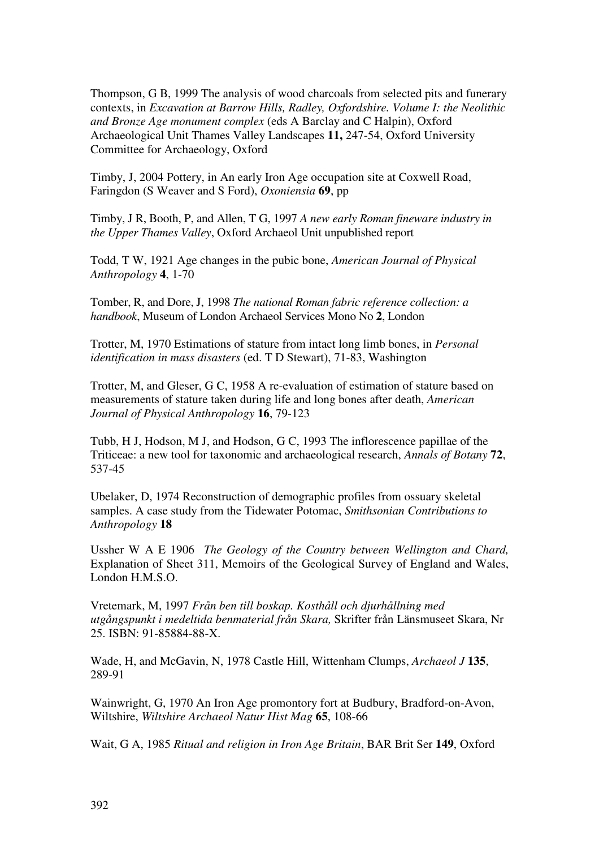Thompson, G B, 1999 The analysis of wood charcoals from selected pits and funerary contexts, in *Excavation at Barrow Hills, Radley, Oxfordshire. Volume I: the Neolithic and Bronze Age monument complex* (eds A Barclay and C Halpin), Oxford Archaeological Unit Thames Valley Landscapes **11,** 247-54, Oxford University Committee for Archaeology, Oxford

Timby, J, 2004 Pottery, in An early Iron Age occupation site at Coxwell Road, Faringdon (S Weaver and S Ford), *Oxoniensia* **69**, pp

Timby, J R, Booth, P, and Allen, T G, 1997 *A new early Roman fineware industry in the Upper Thames Valley*, Oxford Archaeol Unit unpublished report

Todd, T W, 1921 Age changes in the pubic bone, *American Journal of Physical Anthropology* **4**, 1-70

Tomber, R, and Dore, J, 1998 *The national Roman fabric reference collection: a handbook*, Museum of London Archaeol Services Mono No **2**, London

Trotter, M, 1970 Estimations of stature from intact long limb bones, in *Personal identification in mass disasters* (ed. T D Stewart), 71-83, Washington

Trotter, M, and Gleser, G C, 1958 A re-evaluation of estimation of stature based on measurements of stature taken during life and long bones after death, *American Journal of Physical Anthropology* **16**, 79-123

Tubb, H J, Hodson, M J, and Hodson, G C, 1993 The inflorescence papillae of the Triticeae: a new tool for taxonomic and archaeological research, *Annals of Botany* **72**, 537-45

Ubelaker, D, 1974 Reconstruction of demographic profiles from ossuary skeletal samples. A case study from the Tidewater Potomac, *Smithsonian Contributions to Anthropology* **18** 

Ussher W A E 1906 *The Geology of the Country between Wellington and Chard,*  Explanation of Sheet 311, Memoirs of the Geological Survey of England and Wales, London H.M.S.O.

Vretemark, M, 1997 *Från ben till boskap. Kosthåll och djurhållning med utgångspunkt i medeltida benmaterial från Skara,* Skrifter från Länsmuseet Skara, Nr 25. ISBN: 91-85884-88-X.

Wade, H, and McGavin, N, 1978 Castle Hill, Wittenham Clumps, *Archaeol J* **135**, 289-91

Wainwright, G, 1970 An Iron Age promontory fort at Budbury, Bradford-on-Avon, Wiltshire, *Wiltshire Archaeol Natur Hist Mag* **65**, 108-66

Wait, G A, 1985 *Ritual and religion in Iron Age Britain*, BAR Brit Ser **149**, Oxford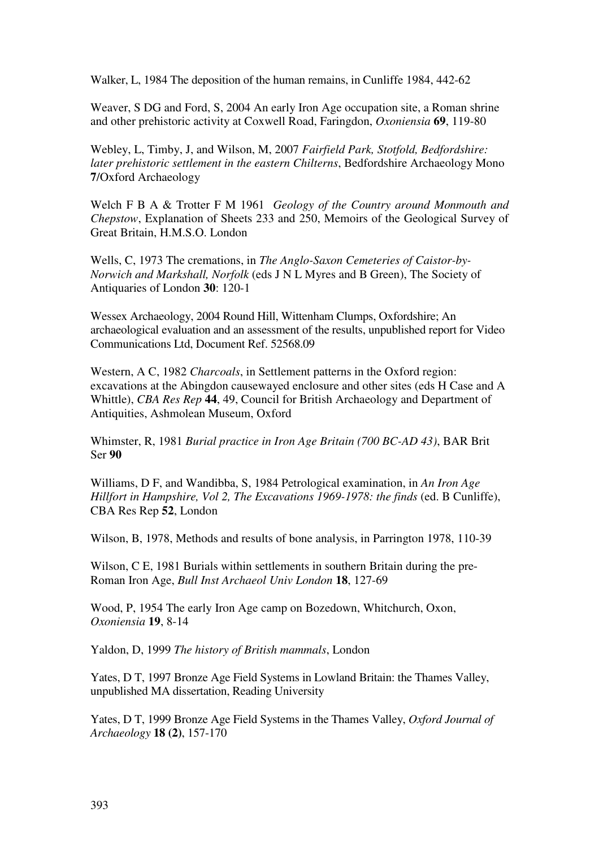Walker, L, 1984 The deposition of the human remains, in Cunliffe 1984, 442-62

Weaver, S DG and Ford, S, 2004 An early Iron Age occupation site, a Roman shrine and other prehistoric activity at Coxwell Road, Faringdon, *Oxoniensia* **69**, 119-80

Webley, L, Timby, J, and Wilson, M, 2007 *Fairfield Park, Stotfold, Bedfordshire: later prehistoric settlement in the eastern Chilterns*, Bedfordshire Archaeology Mono **7**/Oxford Archaeology

Welch F B A & Trotter F M 1961 *Geology of the Country around Monmouth and Chepstow*, Explanation of Sheets 233 and 250, Memoirs of the Geological Survey of Great Britain, H.M.S.O. London

Wells, C, 1973 The cremations, in *The Anglo-Saxon Cemeteries of Caistor-by-Norwich and Markshall, Norfolk* (eds J N L Myres and B Green), The Society of Antiquaries of London **30**: 120-1

Wessex Archaeology, 2004 Round Hill, Wittenham Clumps, Oxfordshire; An archaeological evaluation and an assessment of the results, unpublished report for Video Communications Ltd, Document Ref. 52568.09

Western, A C, 1982 *Charcoals*, in Settlement patterns in the Oxford region: excavations at the Abingdon causewayed enclosure and other sites (eds H Case and A Whittle), *CBA Res Rep* **44**, 49, Council for British Archaeology and Department of Antiquities, Ashmolean Museum, Oxford

Whimster, R, 1981 *Burial practice in Iron Age Britain (700 BC-AD 43)*, BAR Brit Ser **90** 

Williams, D F, and Wandibba, S, 1984 Petrological examination, in *An Iron Age Hillfort in Hampshire, Vol 2, The Excavations 1969-1978: the finds* (ed. B Cunliffe), CBA Res Rep **52**, London

Wilson, B, 1978, Methods and results of bone analysis, in Parrington 1978, 110-39

Wilson, C E, 1981 Burials within settlements in southern Britain during the pre-Roman Iron Age, *Bull Inst Archaeol Univ London* **18**, 127-69

Wood, P, 1954 The early Iron Age camp on Bozedown, Whitchurch, Oxon, *Oxoniensia* **19**, 8-14

Yaldon, D, 1999 *The history of British mammals*, London

Yates, D T, 1997 Bronze Age Field Systems in Lowland Britain: the Thames Valley, unpublished MA dissertation, Reading University

Yates, D T, 1999 Bronze Age Field Systems in the Thames Valley, *Oxford Journal of Archaeology* **18 (2)**, 157-170